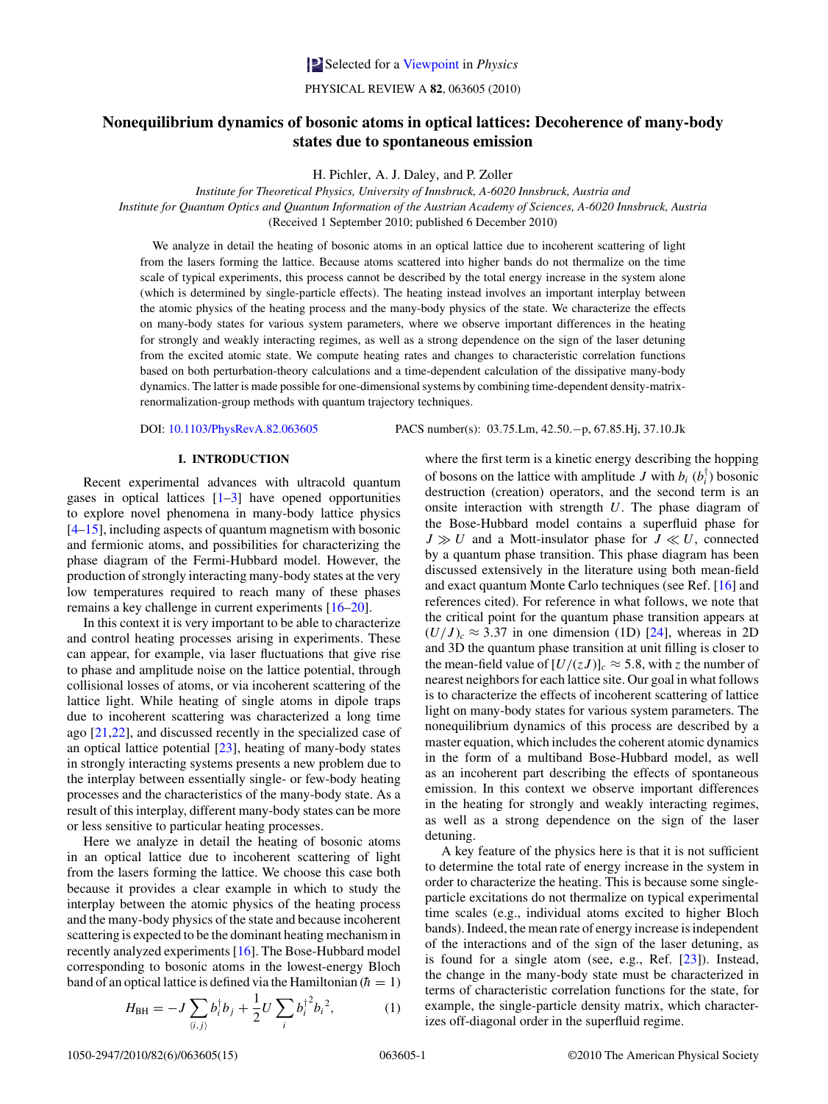Selected for a [Viewpoint](http://link.aps.org/viewpoint-for/10.1103/PhysRevA.82.063605) in *Physics*

PHYSICAL REVIEW A **82**, 063605 (2010)

# <span id="page-0-0"></span>**Nonequilibrium dynamics of bosonic atoms in optical lattices: Decoherence of many-body states due to spontaneous emission**

H. Pichler, A. J. Daley, and P. Zoller

*Institute for Theoretical Physics, University of Innsbruck, A-6020 Innsbruck, Austria and Institute for Quantum Optics and Quantum Information of the Austrian Academy of Sciences, A-6020 Innsbruck, Austria* (Received 1 September 2010; published 6 December 2010)

We analyze in detail the heating of bosonic atoms in an optical lattice due to incoherent scattering of light from the lasers forming the lattice. Because atoms scattered into higher bands do not thermalize on the time scale of typical experiments, this process cannot be described by the total energy increase in the system alone (which is determined by single-particle effects). The heating instead involves an important interplay between the atomic physics of the heating process and the many-body physics of the state. We characterize the effects on many-body states for various system parameters, where we observe important differences in the heating for strongly and weakly interacting regimes, as well as a strong dependence on the sign of the laser detuning from the excited atomic state. We compute heating rates and changes to characteristic correlation functions based on both perturbation-theory calculations and a time-dependent calculation of the dissipative many-body dynamics. The latter is made possible for one-dimensional systems by combining time-dependent density-matrixrenormalization-group methods with quantum trajectory techniques.

DOI: [10.1103/PhysRevA.82.063605](http://dx.doi.org/10.1103/PhysRevA.82.063605) PACS number(s): 03*.*75*.*Lm, 42*.*50*.*−p, 67*.*85*.*Hj, 37*.*10*.*Jk

# **I. INTRODUCTION**

Recent experimental advances with ultracold quantum gases in optical lattices  $[1-3]$  have opened opportunities to explore novel phenomena in many-body lattice physics [\[4–15\]](#page-13-0), including aspects of quantum magnetism with bosonic and fermionic atoms, and possibilities for characterizing the phase diagram of the Fermi-Hubbard model. However, the production of strongly interacting many-body states at the very low temperatures required to reach many of these phases remains a key challenge in current experiments [\[16–](#page-13-0)[20\]](#page-14-0).

In this context it is very important to be able to characterize and control heating processes arising in experiments. These can appear, for example, via laser fluctuations that give rise to phase and amplitude noise on the lattice potential, through collisional losses of atoms, or via incoherent scattering of the lattice light. While heating of single atoms in dipole traps due to incoherent scattering was characterized a long time ago [\[21,22\]](#page-14-0), and discussed recently in the specialized case of an optical lattice potential [\[23\]](#page-14-0), heating of many-body states in strongly interacting systems presents a new problem due to the interplay between essentially single- or few-body heating processes and the characteristics of the many-body state. As a result of this interplay, different many-body states can be more or less sensitive to particular heating processes.

Here we analyze in detail the heating of bosonic atoms in an optical lattice due to incoherent scattering of light from the lasers forming the lattice. We choose this case both because it provides a clear example in which to study the interplay between the atomic physics of the heating process and the many-body physics of the state and because incoherent scattering is expected to be the dominant heating mechanism in recently analyzed experiments [\[16\]](#page-13-0). The Bose-Hubbard model corresponding to bosonic atoms in the lowest-energy Bloch band of an optical lattice is defined via the Hamiltonian ( $\hbar = 1$ )

$$
H_{\rm BH} = -J\sum_{\langle i,j\rangle} b_i^{\dagger} b_j + \frac{1}{2} U \sum_i b_i^{\dagger^2} b_i^{\,2},\tag{1}
$$

where the first term is a kinetic energy describing the hopping of bosons on the lattice with amplitude *J* with  $b_i$  ( $b_i^{\dagger}$ ) bosonic destruction (creation) operators, and the second term is an onsite interaction with strength *U*. The phase diagram of the Bose-Hubbard model contains a superfluid phase for  $J \gg U$  and a Mott-insulator phase for  $J \ll U$ , connected by a quantum phase transition. This phase diagram has been discussed extensively in the literature using both mean-field and exact quantum Monte Carlo techniques (see Ref. [\[16\]](#page-13-0) and references cited). For reference in what follows, we note that the critical point for the quantum phase transition appears at  $(U/J)_c \approx 3.37$  in one dimension (1D) [\[24\]](#page-14-0), whereas in 2D and 3D the quantum phase transition at unit filling is closer to the mean-field value of  $[U/(zJ)]_c \approx 5.8$ , with *z* the number of nearest neighbors for each lattice site. Our goal in what follows is to characterize the effects of incoherent scattering of lattice light on many-body states for various system parameters. The nonequilibrium dynamics of this process are described by a master equation, which includes the coherent atomic dynamics in the form of a multiband Bose-Hubbard model, as well as an incoherent part describing the effects of spontaneous emission. In this context we observe important differences in the heating for strongly and weakly interacting regimes, as well as a strong dependence on the sign of the laser detuning.

A key feature of the physics here is that it is not sufficient to determine the total rate of energy increase in the system in order to characterize the heating. This is because some singleparticle excitations do not thermalize on typical experimental time scales (e.g., individual atoms excited to higher Bloch bands). Indeed, the mean rate of energy increase is independent of the interactions and of the sign of the laser detuning, as is found for a single atom (see, e.g., Ref. [\[23\]](#page-14-0)). Instead, the change in the many-body state must be characterized in terms of characteristic correlation functions for the state, for example, the single-particle density matrix, which characterizes off-diagonal order in the superfluid regime.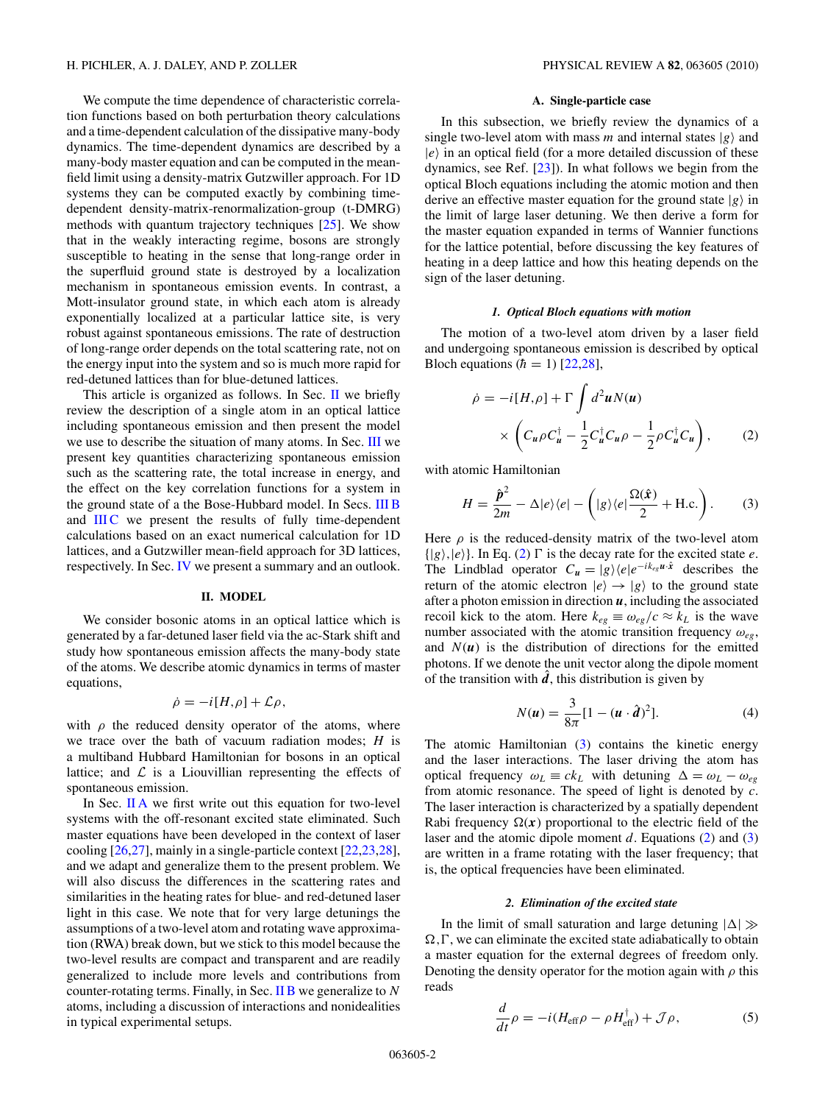<span id="page-1-0"></span>We compute the time dependence of characteristic correlation functions based on both perturbation theory calculations and a time-dependent calculation of the dissipative many-body dynamics. The time-dependent dynamics are described by a many-body master equation and can be computed in the meanfield limit using a density-matrix Gutzwiller approach. For 1D systems they can be computed exactly by combining timedependent density-matrix-renormalization-group (t-DMRG) methods with quantum trajectory techniques [\[25\]](#page-14-0). We show that in the weakly interacting regime, bosons are strongly susceptible to heating in the sense that long-range order in the superfluid ground state is destroyed by a localization mechanism in spontaneous emission events. In contrast, a Mott-insulator ground state, in which each atom is already exponentially localized at a particular lattice site, is very robust against spontaneous emissions. The rate of destruction of long-range order depends on the total scattering rate, not on the energy input into the system and so is much more rapid for red-detuned lattices than for blue-detuned lattices.

This article is organized as follows. In Sec. II we briefly review the description of a single atom in an optical lattice including spontaneous emission and then present the model we use to describe the situation of many atoms. In Sec. [III](#page-6-0) we present key quantities characterizing spontaneous emission such as the scattering rate, the total increase in energy, and the effect on the key correlation functions for a system in the ground state of a the Bose-Hubbard model. In Secs. [III B](#page-8-0) and  $\overline{III}C$  we present the results of fully time-dependent calculations based on an exact numerical calculation for 1D lattices, and a Gutzwiller mean-field approach for 3D lattices, respectively. In Sec. [IV](#page-12-0) we present a summary and an outlook.

# **II. MODEL**

We consider bosonic atoms in an optical lattice which is generated by a far-detuned laser field via the ac-Stark shift and study how spontaneous emission affects the many-body state of the atoms. We describe atomic dynamics in terms of master equations,

$$
\dot{\rho} = -i[H,\rho] + \mathcal{L}\rho,
$$

with  $\rho$  the reduced density operator of the atoms, where we trace over the bath of vacuum radiation modes; *H* is a multiband Hubbard Hamiltonian for bosons in an optical lattice; and  $\mathcal L$  is a Liouvillian representing the effects of spontaneous emission.

In Sec. II A we first write out this equation for two-level systems with the off-resonant excited state eliminated. Such master equations have been developed in the context of laser cooling [\[26,27\]](#page-14-0), mainly in a single-particle context [\[22,23,28\]](#page-14-0), and we adapt and generalize them to the present problem. We will also discuss the differences in the scattering rates and similarities in the heating rates for blue- and red-detuned laser light in this case. We note that for very large detunings the assumptions of a two-level atom and rotating wave approximation (RWA) break down, but we stick to this model because the two-level results are compact and transparent and are readily generalized to include more levels and contributions from counter-rotating terms. Finally, in Sec. [II B](#page-3-0) we generalize to *N* atoms, including a discussion of interactions and nonidealities in typical experimental setups.

### **A. Single-particle case**

In this subsection, we briefly review the dynamics of a single two-level atom with mass *m* and internal states  $|g\rangle$  and  $|e\rangle$  in an optical field (for a more detailed discussion of these dynamics, see Ref. [\[23\]](#page-14-0)). In what follows we begin from the optical Bloch equations including the atomic motion and then derive an effective master equation for the ground state  $|g\rangle$  in the limit of large laser detuning. We then derive a form for the master equation expanded in terms of Wannier functions for the lattice potential, before discussing the key features of heating in a deep lattice and how this heating depends on the sign of the laser detuning.

#### *1. Optical Bloch equations with motion*

The motion of a two-level atom driven by a laser field and undergoing spontaneous emission is described by optical Bloch equations  $(h = 1)$  [\[22,28\]](#page-14-0),

$$
\dot{\rho} = -i[H,\rho] + \Gamma \int d^2 u N(u) \times \left( C_u \rho C_u^{\dagger} - \frac{1}{2} C_u^{\dagger} C_u \rho - \frac{1}{2} \rho C_u^{\dagger} C_u \right), \qquad (2)
$$

with atomic Hamiltonian

$$
H = \frac{\hat{p}^2}{2m} - \Delta|e\rangle\langle e| - \left(|g\rangle\langle e|\frac{\Omega(\hat{x})}{2} + \text{H.c.}\right).
$$
 (3)

Here  $\rho$  is the reduced-density matrix of the two-level atom  $\{|g\rangle, |e\rangle\}$ . In Eq. (2)  $\Gamma$  is the decay rate for the excited state *e*. The Lindblad operator  $C_u = |g\rangle\langle e|e^{-ik_{eg}u\cdot\hat{x}}$  describes the return of the atomic electron  $|e\rangle \rightarrow |g\rangle$  to the ground state after a photon emission in direction *u*, including the associated recoil kick to the atom. Here  $k_{eg} \equiv \omega_{eg}/c \approx k_L$  is the wave number associated with the atomic transition frequency  $\omega_{eg}$ , and  $N(u)$  is the distribution of directions for the emitted photons. If we denote the unit vector along the dipole moment of the transition with  $\hat{d}$ , this distribution is given by

$$
N(\mathbf{u}) = \frac{3}{8\pi} [1 - (\mathbf{u} \cdot \hat{\mathbf{d}})^2].
$$
 (4)

The atomic Hamiltonian (3) contains the kinetic energy and the laser interactions. The laser driving the atom has optical frequency  $\omega_L \equiv ck_L$  with detuning  $\Delta = \omega_L - \omega_{ee}$ from atomic resonance. The speed of light is denoted by *c*. The laser interaction is characterized by a spatially dependent Rabi frequency  $\Omega(x)$  proportional to the electric field of the laser and the atomic dipole moment *d*. Equations (2) and (3) are written in a frame rotating with the laser frequency; that is, the optical frequencies have been eliminated.

#### *2. Elimination of the excited state*

In the limit of small saturation and large detuning  $|\Delta| \gg$  $\Omega, \Gamma$ , we can eliminate the excited state adiabatically to obtain a master equation for the external degrees of freedom only. Denoting the density operator for the motion again with *ρ* this reads

$$
\frac{d}{dt}\rho = -i(H_{\text{eff}}\rho - \rho H_{\text{eff}}^{\dagger}) + \mathcal{J}\rho, \qquad (5)
$$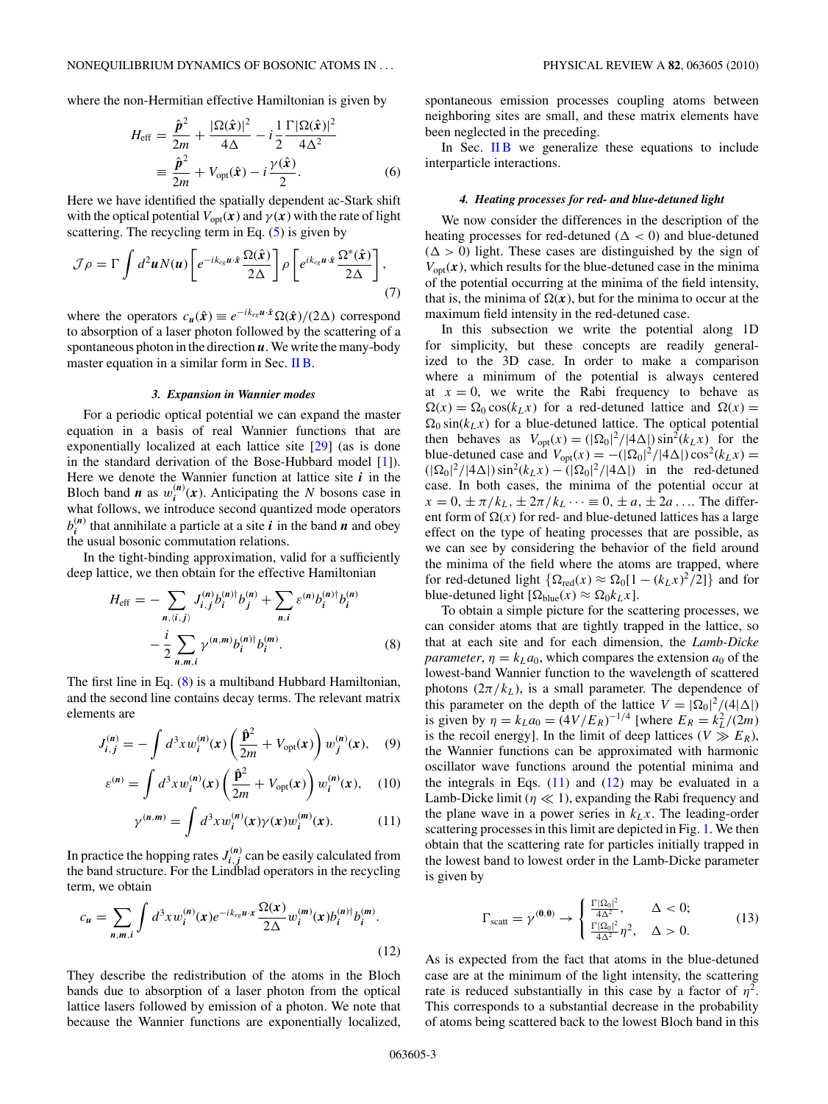<span id="page-2-0"></span>where the non-Hermitian effective Hamiltonian is given by

$$
H_{\text{eff}} = \frac{\hat{p}^2}{2m} + \frac{|\Omega(\hat{\mathbf{x}})|^2}{4\Delta} - i\frac{1}{2}\frac{\Gamma|\Omega(\hat{\mathbf{x}})|^2}{4\Delta^2}
$$

$$
\equiv \frac{\hat{p}^2}{2m} + V_{\text{opt}}(\hat{\mathbf{x}}) - i\frac{\gamma(\hat{\mathbf{x}})}{2}.
$$
(6)

Here we have identified the spatially dependent ac-Stark shift with the optical potential  $V_{opt}(x)$  and  $\gamma(x)$  with the rate of light scattering. The recycling term in Eq.  $(5)$  is given by

$$
\mathcal{J}\rho = \Gamma \int d^2\boldsymbol{u} N(\boldsymbol{u}) \left[ e^{-ik_{eg}\boldsymbol{u}\cdot\hat{\mathbf{x}}} \frac{\Omega(\hat{\mathbf{x}})}{2\Delta} \right] \rho \left[ e^{ik_{eg}\boldsymbol{u}\cdot\hat{\mathbf{x}}} \frac{\Omega^*(\hat{\mathbf{x}})}{2\Delta} \right],
$$
\n(7)

where the operators  $c_u(\hat{x}) \equiv e^{-ik_{eg}u \cdot \hat{x}} \Omega(\hat{x})/(2\Delta)$  correspond to absorption of a laser photon followed by the scattering of a spontaneous photon in the direction *u*. We write the many-body master equation in a similar form in Sec. [II B.](#page-3-0)

# *3. Expansion in Wannier modes*

For a periodic optical potential we can expand the master equation in a basis of real Wannier functions that are exponentially localized at each lattice site [\[29\]](#page-14-0) (as is done in the standard derivation of the Bose-Hubbard model [\[1\]](#page-13-0)). Here we denote the Wannier function at lattice site *i* in the Bloch band *n* as  $w_i^{(n)}(x)$ . Anticipating the *N* bosons case in what follows, we introduce second quantized mode operators  $b_i^{(n)}$  that annihilate a particle at a site  $i$  in the band  $n$  and obey the usual bosonic commutation relations.

In the tight-binding approximation, valid for a sufficiently deep lattice, we then obtain for the effective Hamiltonian

$$
H_{\text{eff}} = -\sum_{n,(i,j)} J_{i,j}^{(n)} b_i^{(n)\dagger} b_j^{(n)} + \sum_{n,i} \varepsilon^{(n)} b_i^{(n)\dagger} b_i^{(n)}
$$

$$
-\frac{i}{2} \sum_{n,m,i} \gamma^{(n,m)} b_i^{(n)\dagger} b_i^{(m)}.
$$
 (8)

The first line in Eq. (8) is a multiband Hubbard Hamiltonian, and the second line contains decay terms. The relevant matrix elements are

$$
J_{i,j}^{(n)} = -\int d^3x w_i^{(n)}(x) \left(\frac{\hat{\mathbf{p}}^2}{2m} + V_{\text{opt}}(x)\right) w_j^{(n)}(x), \quad (9)
$$

$$
\varepsilon^{(n)} = \int d^3x w_i^{(n)}(\mathbf{x}) \left(\frac{\hat{\mathbf{p}}^2}{2m} + V_{\text{opt}}(\mathbf{x})\right) w_i^{(n)}(\mathbf{x}), \quad (10)
$$

$$
\gamma^{(n,m)} = \int d^3x w_i^{(n)}(x) \gamma(x) w_i^{(m)}(x). \tag{11}
$$

In practice the hopping rates  $J_{i,j}^{(n)}$  can be easily calculated from the band structure. For the Lindblad operators in the recycling term, we obtain

$$
c_u = \sum_{n,m,i} \int d^3x w_i^{(n)}(\mathbf{x}) e^{-ik_{eg}u \cdot \mathbf{x}} \frac{\Omega(\mathbf{x})}{2\Delta} w_i^{(m)}(\mathbf{x}) b_i^{(n) \dagger} b_i^{(m)}.
$$
\n(12)

They describe the redistribution of the atoms in the Bloch bands due to absorption of a laser photon from the optical lattice lasers followed by emission of a photon. We note that because the Wannier functions are exponentially localized, spontaneous emission processes coupling atoms between neighboring sites are small, and these matrix elements have been neglected in the preceding.

In Sec.  $\overline{I}$  [II B](#page-3-0) we generalize these equations to include interparticle interactions.

# *4. Heating processes for red- and blue-detuned light*

We now consider the differences in the description of the heating processes for red-detuned ( $\Delta < 0$ ) and blue-detuned  $(\Delta > 0)$  light. These cases are distinguished by the sign of  $V_{opt}(x)$ , which results for the blue-detuned case in the minima of the potential occurring at the minima of the field intensity, that is, the minima of  $\Omega(x)$ , but for the minima to occur at the maximum field intensity in the red-detuned case.

In this subsection we write the potential along 1D for simplicity, but these concepts are readily generalized to the 3D case. In order to make a comparison where a minimum of the potential is always centered at  $x = 0$ , we write the Rabi frequency to behave as  $\Omega(x) = \Omega_0 \cos(k_L x)$  for a red-detuned lattice and  $\Omega(x) =$  $\Omega_0$  sin( $k_Lx$ ) for a blue-detuned lattice. The optical potential then behaves as  $V_{opt}(x) = (|\Omega_0|^2 / |4\Delta|) \sin^2(k_L x)$  for the blue-detuned case and  $V_{opt}(x) = -(|\Omega_0|^2/|4\Delta|)\cos^2(k_Lx)$  $(|\Omega_0|^2/|4\Delta|) \sin^2(k_L x) - (|\Omega_0|^2/|4\Delta|)$  in the red-detuned case. In both cases, the minima of the potential occur at  $x = 0, \pm \pi/k_L, \pm 2\pi/k_L \cdots \equiv 0, \pm a, \pm 2a \ldots$  The different form of  $\Omega(x)$  for red- and blue-detuned lattices has a large effect on the type of heating processes that are possible, as we can see by considering the behavior of the field around the minima of the field where the atoms are trapped, where for red-detuned light  $\{\Omega_{\text{red}}(x) \approx \Omega_0[1 - (k_L x)^2/2]\}$  and for blue-detuned light  $[\Omega_{blue}(x) \approx \Omega_0 k_L x]$ .

To obtain a simple picture for the scattering processes, we can consider atoms that are tightly trapped in the lattice, so that at each site and for each dimension, the *Lamb-Dicke parameter*,  $\eta = k_L a_0$ , which compares the extension  $a_0$  of the lowest-band Wannier function to the wavelength of scattered photons  $(2\pi/k_L)$ , is a small parameter. The dependence of this parameter on the depth of the lattice  $V = |\Omega_0|^2/(4|\Delta|)$ is given by  $\eta = k_L a_0 = (4V/E_R)^{-1/4}$  [where  $E_R = k_L^2/(2m)$ is the recoil energy]. In the limit of deep lattices ( $V \gg E_R$ ), the Wannier functions can be approximated with harmonic oscillator wave functions around the potential minima and the integrals in Eqs.  $(11)$  and  $(12)$  may be evaluated in a Lamb-Dicke limit  $(\eta \ll 1)$ , expanding the Rabi frequency and the plane wave in a power series in  $k<sub>L</sub>x$ . The leading-order scattering processes in this limit are depicted in Fig. [1.](#page-3-0) We then obtain that the scattering rate for particles initially trapped in the lowest band to lowest order in the Lamb-Dicke parameter is given by

$$
\Gamma_{\text{scatt}} = \gamma^{(0,0)} \to \begin{cases} \frac{\Gamma |\Omega_0|^2}{4\Delta^2}, & \Delta < 0; \\ \frac{\Gamma |\Omega_0|^2}{4\Delta^2} \eta^2, & \Delta > 0. \end{cases} \tag{13}
$$

As is expected from the fact that atoms in the blue-detuned case are at the minimum of the light intensity, the scattering rate is reduced substantially in this case by a factor of  $\eta^2$ . This corresponds to a substantial decrease in the probability of atoms being scattered back to the lowest Bloch band in this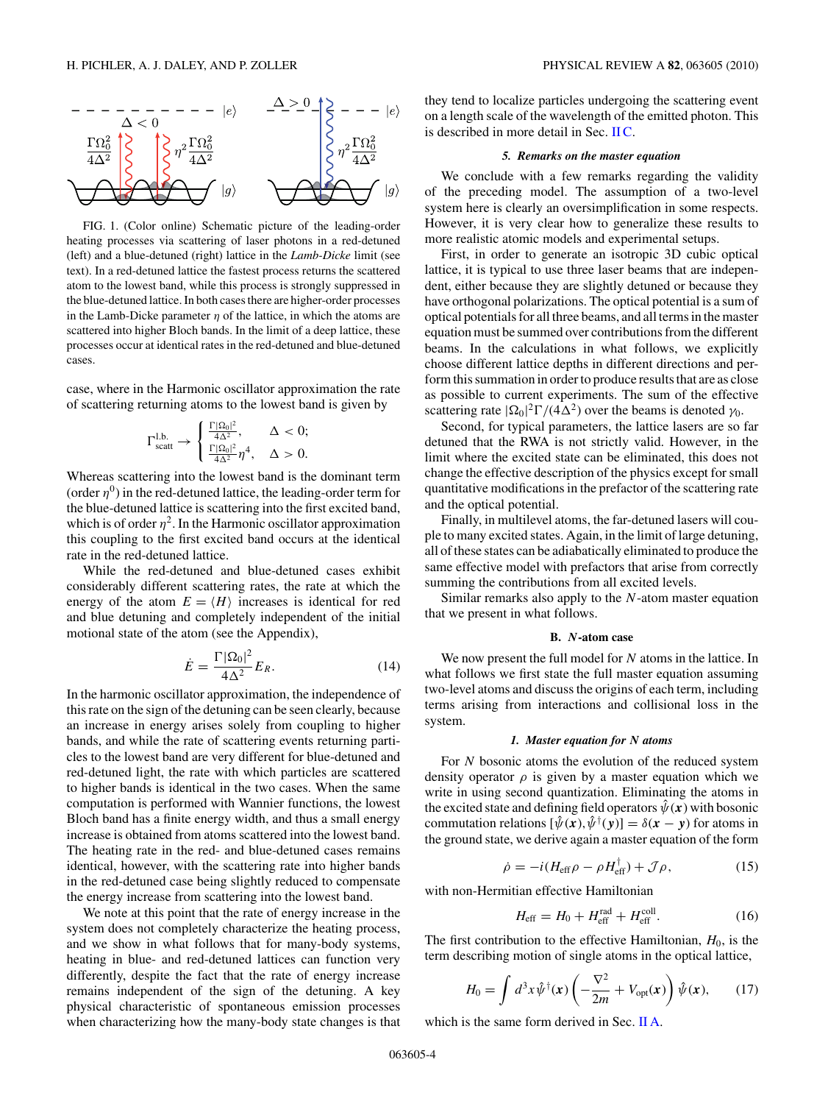<span id="page-3-0"></span>

FIG. 1. (Color online) Schematic picture of the leading-order heating processes via scattering of laser photons in a red-detuned (left) and a blue-detuned (right) lattice in the *Lamb-Dicke* limit (see text). In a red-detuned lattice the fastest process returns the scattered atom to the lowest band, while this process is strongly suppressed in the blue-detuned lattice. In both cases there are higher-order processes in the Lamb-Dicke parameter  $\eta$  of the lattice, in which the atoms are scattered into higher Bloch bands. In the limit of a deep lattice, these processes occur at identical rates in the red-detuned and blue-detuned cases.

case, where in the Harmonic oscillator approximation the rate of scattering returning atoms to the lowest band is given by

$$
\Gamma^{l.b.}_{scatt}\rightarrow \begin{cases} \frac{\Gamma |\Omega_0|^2}{4\Delta^2}, \quad & \Delta<0; \\ \frac{\Gamma |\Omega_0|^2}{4\Delta^2} \eta^4, & \Delta>0. \end{cases}
$$

Whereas scattering into the lowest band is the dominant term (order  $\eta^0$ ) in the red-detuned lattice, the leading-order term for the blue-detuned lattice is scattering into the first excited band, which is of order  $\eta^2$ . In the Harmonic oscillator approximation this coupling to the first excited band occurs at the identical rate in the red-detuned lattice.

While the red-detuned and blue-detuned cases exhibit considerably different scattering rates, the rate at which the energy of the atom  $E = \langle H \rangle$  increases is identical for red and blue detuning and completely independent of the initial motional state of the atom (see the Appendix),

$$
\dot{E} = \frac{\Gamma |\Omega_0|^2}{4\Delta^2} E_R.
$$
 (14)

In the harmonic oscillator approximation, the independence of this rate on the sign of the detuning can be seen clearly, because an increase in energy arises solely from coupling to higher bands, and while the rate of scattering events returning particles to the lowest band are very different for blue-detuned and red-detuned light, the rate with which particles are scattered to higher bands is identical in the two cases. When the same computation is performed with Wannier functions, the lowest Bloch band has a finite energy width, and thus a small energy increase is obtained from atoms scattered into the lowest band. The heating rate in the red- and blue-detuned cases remains identical, however, with the scattering rate into higher bands in the red-detuned case being slightly reduced to compensate the energy increase from scattering into the lowest band.

We note at this point that the rate of energy increase in the system does not completely characterize the heating process, and we show in what follows that for many-body systems, heating in blue- and red-detuned lattices can function very differently, despite the fact that the rate of energy increase remains independent of the sign of the detuning. A key physical characteristic of spontaneous emission processes when characterizing how the many-body state changes is that they tend to localize particles undergoing the scattering event on a length scale of the wavelength of the emitted photon. This is described in more detail in Sec. [II C.](#page-5-0)

# *5. Remarks on the master equation*

We conclude with a few remarks regarding the validity of the preceding model. The assumption of a two-level system here is clearly an oversimplification in some respects. However, it is very clear how to generalize these results to more realistic atomic models and experimental setups.

First, in order to generate an isotropic 3D cubic optical lattice, it is typical to use three laser beams that are independent, either because they are slightly detuned or because they have orthogonal polarizations. The optical potential is a sum of optical potentials for all three beams, and all terms in the master equation must be summed over contributions from the different beams. In the calculations in what follows, we explicitly choose different lattice depths in different directions and perform this summation in order to produce results that are as close as possible to current experiments. The sum of the effective scattering rate  $|\Omega_0|^2 \Gamma / (4\Delta^2)$  over the beams is denoted  $\gamma_0$ .

Second, for typical parameters, the lattice lasers are so far detuned that the RWA is not strictly valid. However, in the limit where the excited state can be eliminated, this does not change the effective description of the physics except for small quantitative modifications in the prefactor of the scattering rate and the optical potential.

Finally, in multilevel atoms, the far-detuned lasers will couple to many excited states. Again, in the limit of large detuning, all of these states can be adiabatically eliminated to produce the same effective model with prefactors that arise from correctly summing the contributions from all excited levels.

Similar remarks also apply to the *N*-atom master equation that we present in what follows.

### **B.** *N***-atom case**

We now present the full model for *N* atoms in the lattice. In what follows we first state the full master equation assuming two-level atoms and discuss the origins of each term, including terms arising from interactions and collisional loss in the system.

#### *1. Master equation for N atoms*

For *N* bosonic atoms the evolution of the reduced system density operator *ρ* is given by a master equation which we write in using second quantization. Eliminating the atoms in the excited state and defining field operators  $\hat{\psi}(x)$  with bosonic commutation relations  $[\hat{\psi}(x), \hat{\psi}^{\dagger}(y)] = \delta(x - y)$  for atoms in the ground state, we derive again a master equation of the form

$$
\dot{\rho} = -i(H_{\rm eff}\rho - \rho H_{\rm eff}^{\dagger}) + \mathcal{J}\rho, \qquad (15)
$$

with non-Hermitian effective Hamiltonian

$$
H_{\rm eff} = H_0 + H_{\rm eff}^{\rm rad} + H_{\rm eff}^{\rm coll}.
$$
 (16)

The first contribution to the effective Hamiltonian,  $H_0$ , is the term describing motion of single atoms in the optical lattice,

$$
H_0 = \int d^3x \hat{\psi}^\dagger(\mathbf{x}) \left( -\frac{\nabla^2}{2m} + V_{\text{opt}}(\mathbf{x}) \right) \hat{\psi}(\mathbf{x}), \qquad (17)
$$

which is the same form derived in Sec. [II A.](#page-1-0)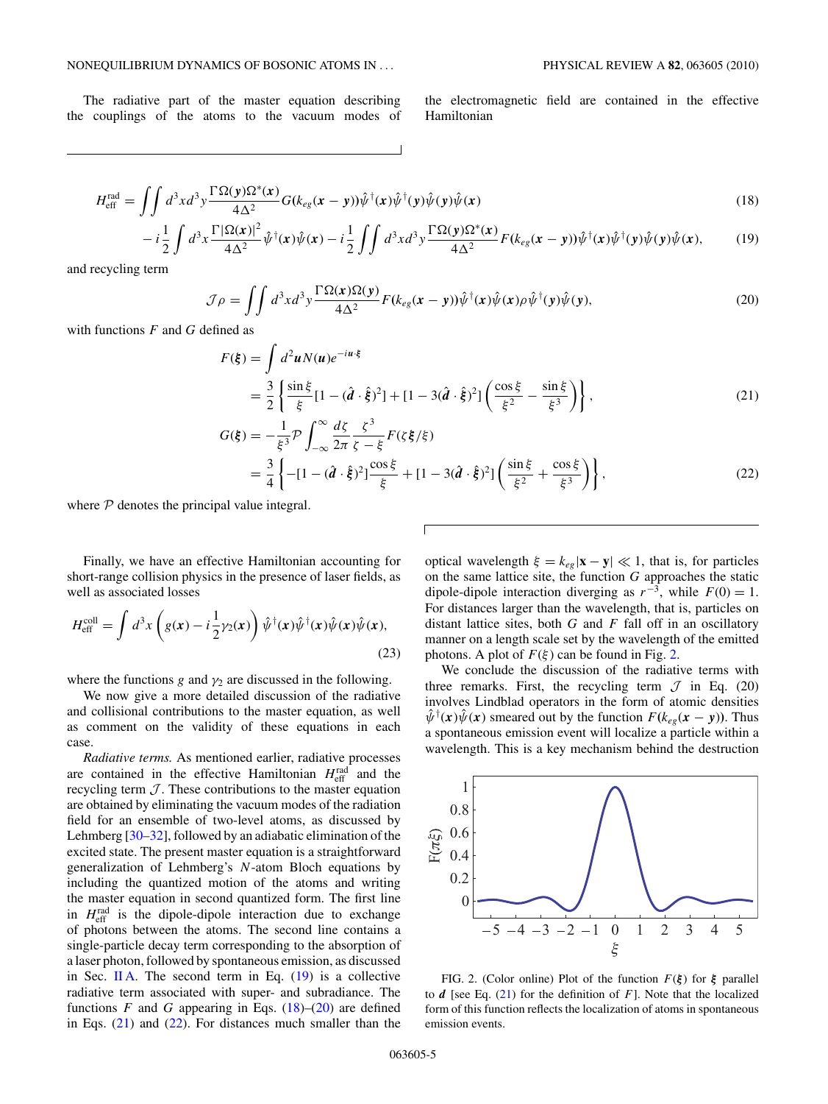<span id="page-4-0"></span>The radiative part of the master equation describing the couplings of the atoms to the vacuum modes of the electromagnetic field are contained in the effective Hamiltonian

$$
H_{\text{eff}}^{\text{rad}} = \iint d^3x d^3y \frac{\Gamma \Omega(y) \Omega^*(x)}{4\Delta^2} G(k_{eg}(x-y)) \hat{\psi}^\dagger(x) \hat{\psi}^\dagger(y) \hat{\psi}(y) \hat{\psi}(x) \tag{18}
$$

$$
-i\frac{1}{2}\int d^3x \frac{\Gamma|\Omega(x)|^2}{4\Delta^2}\hat{\psi}^\dagger(x)\hat{\psi}(x)-i\frac{1}{2}\int\!\!\int d^3x d^3y \frac{\Gamma\Omega(y)\Omega^*(x)}{4\Delta^2}F(k_{eg}(x-y))\hat{\psi}^\dagger(x)\hat{\psi}^\dagger(y)\hat{\psi}(y)\hat{\psi}(x),\tag{19}
$$

and recycling term

$$
\mathcal{J}\rho = \iint d^3x d^3y \frac{\Gamma \Omega(x)\Omega(y)}{4\Delta^2} F(k_{eg}(x-y)) \hat{\psi}^\dagger(x) \hat{\psi}(x) \rho \hat{\psi}^\dagger(y) \hat{\psi}(y), \tag{20}
$$

with functions *F* and *G* defined as

$$
F(\xi) = \int d^2 u N(u) e^{-iu \cdot \xi}
$$
  
=  $\frac{3}{2} \left\{ \frac{\sin \xi}{\xi} [1 - (\hat{d} \cdot \hat{\xi})^2] + [1 - 3(\hat{d} \cdot \hat{\xi})^2] \left( \frac{\cos \xi}{\xi^2} - \frac{\sin \xi}{\xi^3} \right) \right\},$  (21)

$$
G(\xi) = -\frac{1}{\xi^3} \mathcal{P} \int_{-\infty}^{\infty} \frac{d\zeta}{2\pi} \frac{\zeta^3}{\zeta - \xi} F(\zeta \xi/\xi)
$$
  
=  $\frac{3}{4} \left\{ -[1 - (\hat{\boldsymbol{d}} \cdot \hat{\xi})^2] \frac{\cos \xi}{\xi} + [1 - 3(\hat{\boldsymbol{d}} \cdot \hat{\xi})^2] \left( \frac{\sin \xi}{\xi^2} + \frac{\cos \xi}{\xi^3} \right) \right\},$  (22)

where  $P$  denotes the principal value integral.

Finally, we have an effective Hamiltonian accounting for short-range collision physics in the presence of laser fields, as well as associated losses

$$
H_{\text{eff}}^{\text{coll}} = \int d^3x \left( g(\mathbf{x}) - i \frac{1}{2} \gamma_2(\mathbf{x}) \right) \hat{\psi}^\dagger(\mathbf{x}) \hat{\psi}^\dagger(\mathbf{x}) \hat{\psi}(\mathbf{x}) \hat{\psi}(\mathbf{x}), \tag{23}
$$

where the functions *g* and  $\gamma_2$  are discussed in the following.

We now give a more detailed discussion of the radiative and collisional contributions to the master equation, as well as comment on the validity of these equations in each case.

*Radiative terms.* As mentioned earlier, radiative processes are contained in the effective Hamiltonian  $H_{\text{eff}}^{\text{rad}}$  and the recycling term  $J$ . These contributions to the master equation are obtained by eliminating the vacuum modes of the radiation field for an ensemble of two-level atoms, as discussed by Lehmberg [\[30–32\]](#page-14-0), followed by an adiabatic elimination of the excited state. The present master equation is a straightforward generalization of Lehmberg's *N*-atom Bloch equations by including the quantized motion of the atoms and writing the master equation in second quantized form. The first line in  $H_{\text{eff}}^{\text{rad}}$  is the dipole-dipole interaction due to exchange of photons between the atoms. The second line contains a single-particle decay term corresponding to the absorption of a laser photon, followed by spontaneous emission, as discussed in Sec. [II A.](#page-1-0) The second term in Eq.  $(19)$  is a collective radiative term associated with super- and subradiance. The functions  $F$  and  $G$  appearing in Eqs.  $(18)$ – $(20)$  are defined in Eqs. (21) and (22). For distances much smaller than the

optical wavelength  $\xi = k_{eg}|\mathbf{x} - \mathbf{y}| \ll 1$ , that is, for particles on the same lattice site, the function *G* approaches the static dipole-dipole interaction diverging as  $r^{-3}$ , while  $F(0) = 1$ . For distances larger than the wavelength, that is, particles on distant lattice sites, both *G* and *F* fall off in an oscillatory manner on a length scale set by the wavelength of the emitted photons. A plot of  $F(\xi)$  can be found in Fig. 2.

We conclude the discussion of the radiative terms with three remarks. First, the recycling term  $J$  in Eq. (20) involves Lindblad operators in the form of atomic densities  $\hat{\psi}^{\dagger}(\mathbf{x})\hat{\psi}(\mathbf{x})$  smeared out by the function  $F(k_{eg}(\mathbf{x}-\mathbf{y}))$ . Thus a spontaneous emission event will localize a particle within a wavelength. This is a key mechanism behind the destruction



FIG. 2. (Color online) Plot of the function *F*(*ξ* ) for *ξ* parallel to  $d$  [see Eq.  $(21)$  for the definition of  $F$ ]. Note that the localized form of this function reflects the localization of atoms in spontaneous emission events.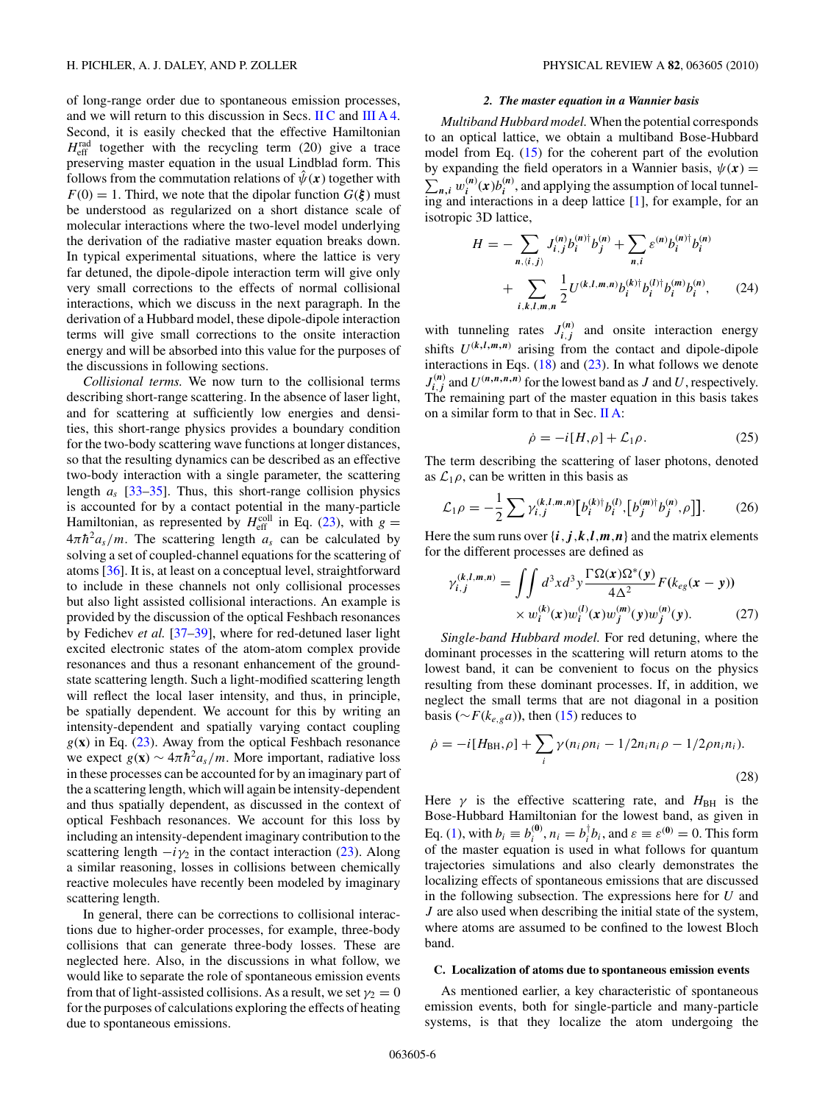<span id="page-5-0"></span>of long-range order due to spontaneous emission processes, and we will return to this discussion in Secs. II C and [III A 4.](#page-7-0) Second, it is easily checked that the effective Hamiltonian  $H_{\text{eff}}^{\text{rad}}$  together with the recycling term (20) give a trace preserving master equation in the usual Lindblad form. This follows from the commutation relations of  $\hat{\psi}(x)$  together with  $F(0) = 1$ . Third, we note that the dipolar function  $G(\xi)$  must be understood as regularized on a short distance scale of molecular interactions where the two-level model underlying the derivation of the radiative master equation breaks down. In typical experimental situations, where the lattice is very far detuned, the dipole-dipole interaction term will give only very small corrections to the effects of normal collisional interactions, which we discuss in the next paragraph. In the derivation of a Hubbard model, these dipole-dipole interaction terms will give small corrections to the onsite interaction energy and will be absorbed into this value for the purposes of the discussions in following sections.

*Collisional terms.* We now turn to the collisional terms describing short-range scattering. In the absence of laser light, and for scattering at sufficiently low energies and densities, this short-range physics provides a boundary condition for the two-body scattering wave functions at longer distances, so that the resulting dynamics can be described as an effective two-body interaction with a single parameter, the scattering length *as* [\[33–35\]](#page-14-0). Thus, this short-range collision physics is accounted for by a contact potential in the many-particle Hamiltonian, as represented by  $H_{\text{eff}}^{\text{coll}}$  in Eq. [\(23\)](#page-4-0), with  $g =$  $4\pi\hbar^2 a_s/m$ . The scattering length  $a_s$  can be calculated by solving a set of coupled-channel equations for the scattering of atoms [\[36\]](#page-14-0). It is, at least on a conceptual level, straightforward to include in these channels not only collisional processes but also light assisted collisional interactions. An example is provided by the discussion of the optical Feshbach resonances by Fedichev *et al.* [\[37–39\]](#page-14-0), where for red-detuned laser light excited electronic states of the atom-atom complex provide resonances and thus a resonant enhancement of the groundstate scattering length. Such a light-modified scattering length will reflect the local laser intensity, and thus, in principle, be spatially dependent. We account for this by writing an intensity-dependent and spatially varying contact coupling  $g(x)$  in Eq. [\(23\)](#page-4-0). Away from the optical Feshbach resonance we expect  $g(\mathbf{x}) \sim 4\pi \hbar^2 a_s/m$ . More important, radiative loss in these processes can be accounted for by an imaginary part of the a scattering length, which will again be intensity-dependent and thus spatially dependent, as discussed in the context of optical Feshbach resonances. We account for this loss by including an intensity-dependent imaginary contribution to the scattering length  $-i\gamma_2$  in the contact interaction [\(23\)](#page-4-0). Along a similar reasoning, losses in collisions between chemically reactive molecules have recently been modeled by imaginary scattering length.

In general, there can be corrections to collisional interactions due to higher-order processes, for example, three-body collisions that can generate three-body losses. These are neglected here. Also, in the discussions in what follow, we would like to separate the role of spontaneous emission events from that of light-assisted collisions. As a result, we set  $\gamma_2 = 0$ for the purposes of calculations exploring the effects of heating due to spontaneous emissions.

#### *2. The master equation in a Wannier basis*

*Multiband Hubbard model.* When the potential corresponds to an optical lattice, we obtain a multiband Bose-Hubbard model from Eq. [\(15\)](#page-3-0) for the coherent part of the evolution by expanding the field operators in a Wannier basis,  $\psi(\mathbf{x}) =$  $\sum_{n,i} w_i^{(n)}(x) b_i^{(n)}$ , and applying the assumption of local tunneling and interactions in a deep lattice [\[1\]](#page-13-0), for example, for an isotropic 3D lattice,

$$
H = -\sum_{n,(i,j)} J_{i,j}^{(n)} b_i^{(n)\dagger} b_j^{(n)} + \sum_{n,i} \varepsilon^{(n)} b_i^{(n)\dagger} b_i^{(n)} + \sum_{i,k,l,m,n} \frac{1}{2} U^{(k,l,m,n)} b_i^{(k)\dagger} b_i^{(l)\dagger} b_i^{(m)} b_i^{(n)}, \qquad (24)
$$

with tunneling rates  $J_{i,j}^{(n)}$  and onsite interaction energy shifts  $U^{(k,l,m,n)}$  arising from the contact and dipole-dipole interactions in Eqs.  $(18)$  and  $(23)$ . In what follows we denote  $J_{i,j}^{(n)}$  and  $U^{(n,n,n,n)}$  for the lowest band as *J* and *U*, respectively. The remaining part of the master equation in this basis takes on a similar form to that in Sec. [II A:](#page-1-0)

$$
\dot{\rho} = -i[H,\rho] + \mathcal{L}_1 \rho. \tag{25}
$$

The term describing the scattering of laser photons, denoted as  $\mathcal{L}_1\rho$ , can be written in this basis as

$$
\mathcal{L}_1 \rho = -\frac{1}{2} \sum \gamma_{i,j}^{(k,l,m,n)} \big[ b_i^{(k)\dagger} b_i^{(l)}, \big[ b_j^{(m)\dagger} b_j^{(n)}, \rho \big] \big]. \tag{26}
$$

Here the sum runs over  $\{i, j, k, l, m, n\}$  and the matrix elements for the different processes are defined as

$$
\gamma_{i,j}^{(k,l,m,n)} = \iint d^3x d^3y \frac{\Gamma \Omega(x) \Omega^*(y)}{4\Delta^2} F(k_{eg}(x-y))
$$
  
 
$$
\times w_i^{(k)}(x) w_i^{(l)}(x) w_j^{(m)}(y) w_j^{(n)}(y). \qquad (27)
$$

*Single-band Hubbard model.* For red detuning, where the dominant processes in the scattering will return atoms to the lowest band, it can be convenient to focus on the physics resulting from these dominant processes. If, in addition, we neglect the small terms that are not diagonal in a position basis ( $∼F(k_{e,g}a)$ ), then [\(15\)](#page-3-0) reduces to

$$
\dot{\rho} = -i[H_{\rm BH}, \rho] + \sum_{i} \gamma (n_i \rho n_i - 1/2 n_i n_i \rho - 1/2 \rho n_i n_i).
$$
\n(28)

Here  $\gamma$  is the effective scattering rate, and  $H_{\text{BH}}$  is the Bose-Hubbard Hamiltonian for the lowest band, as given in Eq. [\(1\)](#page-0-0), with  $b_i \equiv b_i^{(0)}$ ,  $n_i = b_i^{\dagger} b_i$ , and  $\varepsilon \equiv \varepsilon^{(0)} = 0$ . This form of the master equation is used in what follows for quantum trajectories simulations and also clearly demonstrates the localizing effects of spontaneous emissions that are discussed in the following subsection. The expressions here for *U* and *J* are also used when describing the initial state of the system, where atoms are assumed to be confined to the lowest Bloch band.

### **C. Localization of atoms due to spontaneous emission events**

As mentioned earlier, a key characteristic of spontaneous emission events, both for single-particle and many-particle systems, is that they localize the atom undergoing the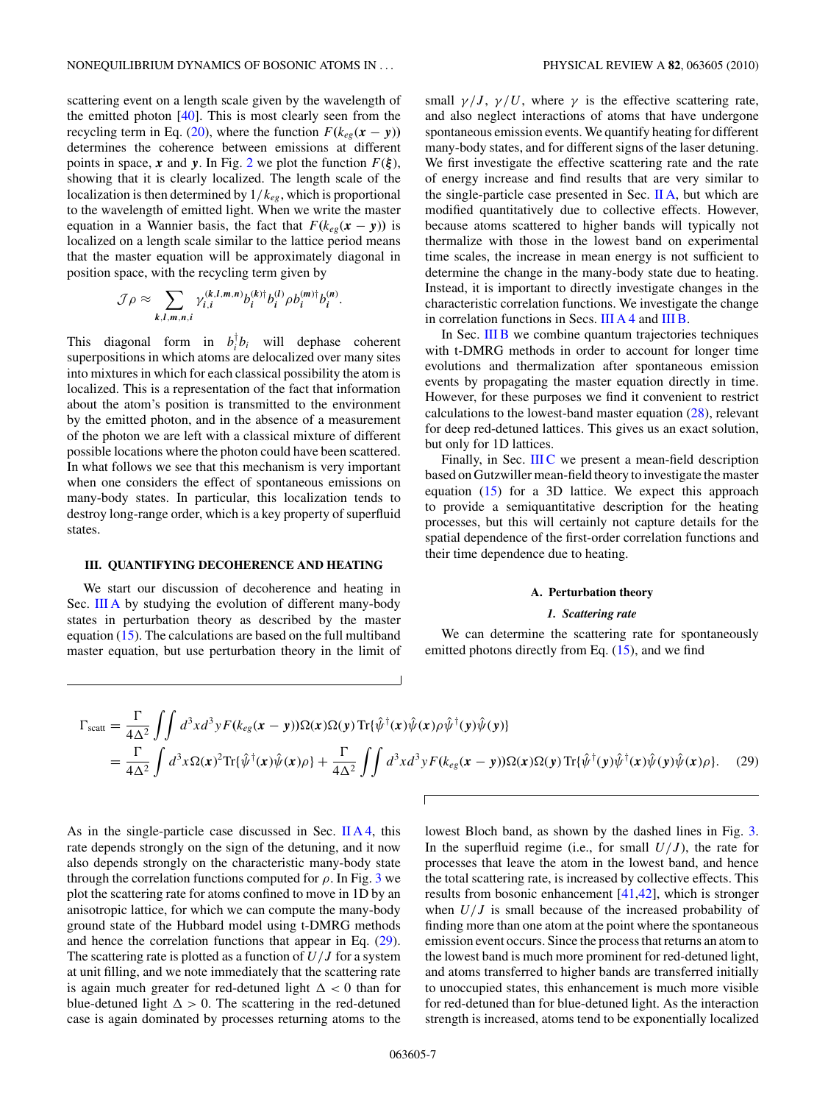<span id="page-6-0"></span>scattering event on a length scale given by the wavelength of the emitted photon  $[40]$ . This is most clearly seen from the recycling term in Eq. [\(20\)](#page-4-0), where the function  $F(k_{eg}(x - y))$ determines the coherence between emissions at different points in space, *x* and *y*. In Fig. [2](#page-4-0) we plot the function  $F(\xi)$ , showing that it is clearly localized. The length scale of the localization is then determined by 1*/keg*, which is proportional to the wavelength of emitted light. When we write the master equation in a Wannier basis, the fact that  $F(k_{ee}(x - y))$  is localized on a length scale similar to the lattice period means that the master equation will be approximately diagonal in position space, with the recycling term given by

$$
\mathcal{J}\rho \approx \sum_{k,l,m,n,i} \gamma_{i,i}^{(k,l,m,n)} b_i^{(k)\dagger} b_i^{(l)} \rho b_i^{(m)\dagger} b_i^{(n)}.
$$

This diagonal form in  $b_i^{\dagger} b_i$  will dephase coherent superpositions in which atoms are delocalized over many sites into mixtures in which for each classical possibility the atom is localized. This is a representation of the fact that information about the atom's position is transmitted to the environment by the emitted photon, and in the absence of a measurement of the photon we are left with a classical mixture of different possible locations where the photon could have been scattered. In what follows we see that this mechanism is very important when one considers the effect of spontaneous emissions on many-body states. In particular, this localization tends to destroy long-range order, which is a key property of superfluid states.

#### **III. QUANTIFYING DECOHERENCE AND HEATING**

We start our discussion of decoherence and heating in Sec. III A by studying the evolution of different many-body states in perturbation theory as described by the master equation [\(15\)](#page-3-0). The calculations are based on the full multiband master equation, but use perturbation theory in the limit of small  $\gamma/J$ ,  $\gamma/U$ , where  $\gamma$  is the effective scattering rate, and also neglect interactions of atoms that have undergone spontaneous emission events. We quantify heating for different many-body states, and for different signs of the laser detuning. We first investigate the effective scattering rate and the rate of energy increase and find results that are very similar to the single-particle case presented in Sec.  $\mathbf{II} \mathbf{A}$ , but which are modified quantitatively due to collective effects. However, because atoms scattered to higher bands will typically not thermalize with those in the lowest band on experimental time scales, the increase in mean energy is not sufficient to determine the change in the many-body state due to heating. Instead, it is important to directly investigate changes in the characteristic correlation functions. We investigate the change in correlation functions in Secs. [III A 4](#page-7-0) and [III B.](#page-8-0)

In Sec. [III B](#page-8-0) we combine quantum trajectories techniques with t-DMRG methods in order to account for longer time evolutions and thermalization after spontaneous emission events by propagating the master equation directly in time. However, for these purposes we find it convenient to restrict calculations to the lowest-band master equation [\(28\)](#page-5-0), relevant for deep red-detuned lattices. This gives us an exact solution, but only for 1D lattices.

Finally, in Sec. [III C](#page-10-0) we present a mean-field description based on Gutzwiller mean-field theory to investigate the master equation  $(15)$  for a 3D lattice. We expect this approach to provide a semiquantitative description for the heating processes, but this will certainly not capture details for the spatial dependence of the first-order correlation functions and their time dependence due to heating.

### **A. Perturbation theory**

### *1. Scattering rate*

We can determine the scattering rate for spontaneously emitted photons directly from Eq.  $(15)$ , and we find

$$
\Gamma_{\text{scatt}} = \frac{\Gamma}{4\Delta^2} \iint d^3x d^3y F(k_{eg}(x-y)) \Omega(x) \Omega(y) \operatorname{Tr} \{ \hat{\psi}^\dagger(x) \hat{\psi}(x) \rho \hat{\psi}^\dagger(y) \hat{\psi}(y) \}
$$
\n
$$
= \frac{\Gamma}{4\Delta^2} \int d^3x \Omega(x)^2 \operatorname{Tr} \{ \hat{\psi}^\dagger(x) \hat{\psi}(x) \rho \} + \frac{\Gamma}{4\Delta^2} \iint d^3x d^3y F(k_{eg}(x-y)) \Omega(x) \Omega(y) \operatorname{Tr} \{ \hat{\psi}^\dagger(y) \hat{\psi}(x) \hat{\psi}(y) \hat{\psi}(x) \rho \}. \tag{29}
$$

As in the single-particle case discussed in Sec.  $\Pi A4$ , this rate depends strongly on the sign of the detuning, and it now also depends strongly on the characteristic many-body state through the correlation functions computed for  $\rho$ . In Fig. [3](#page-7-0) we plot the scattering rate for atoms confined to move in 1D by an anisotropic lattice, for which we can compute the many-body ground state of the Hubbard model using t-DMRG methods and hence the correlation functions that appear in Eq. (29). The scattering rate is plotted as a function of *U/J* for a system at unit filling, and we note immediately that the scattering rate is again much greater for red-detuned light  $\Delta < 0$  than for blue-detuned light  $\Delta > 0$ . The scattering in the red-detuned case is again dominated by processes returning atoms to the

lowest Bloch band, as shown by the dashed lines in Fig. [3.](#page-7-0) In the superfluid regime (i.e., for small  $U/J$ ), the rate for processes that leave the atom in the lowest band, and hence the total scattering rate, is increased by collective effects. This results from bosonic enhancement [\[41,42\]](#page-14-0), which is stronger when *U/J* is small because of the increased probability of finding more than one atom at the point where the spontaneous emission event occurs. Since the process that returns an atom to the lowest band is much more prominent for red-detuned light, and atoms transferred to higher bands are transferred initially to unoccupied states, this enhancement is much more visible for red-detuned than for blue-detuned light. As the interaction strength is increased, atoms tend to be exponentially localized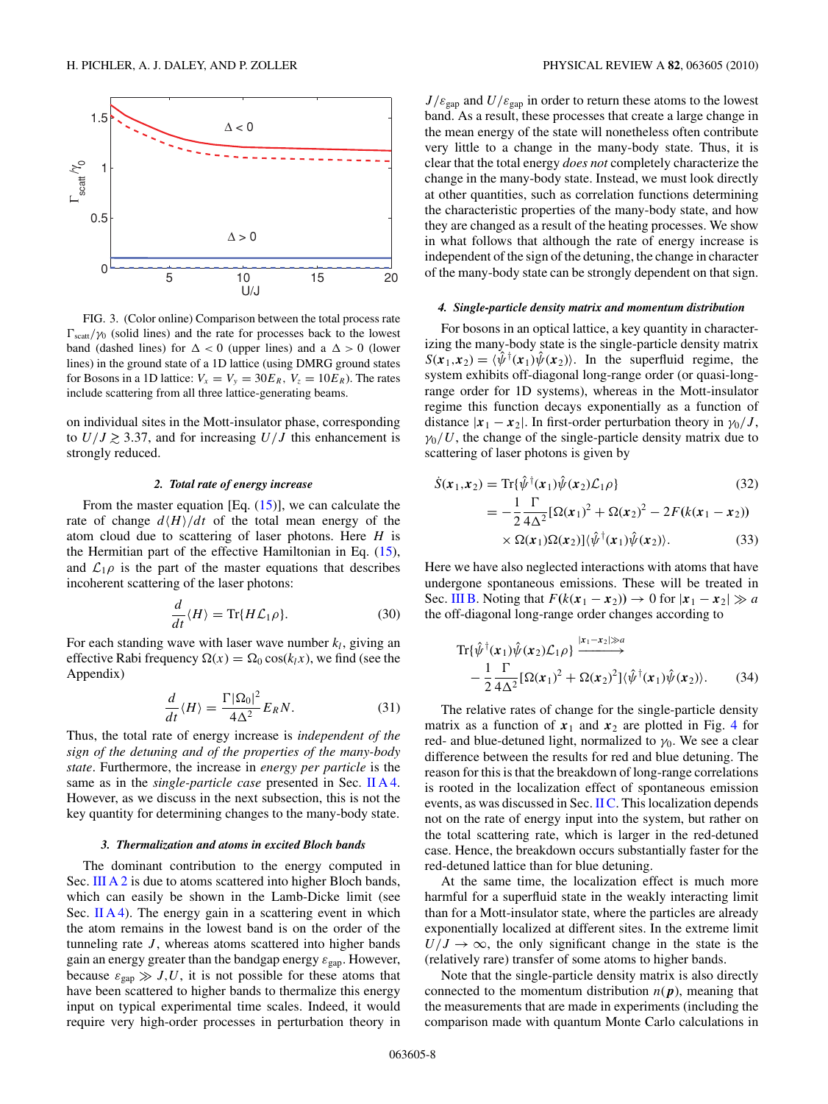<span id="page-7-0"></span>

FIG. 3. (Color online) Comparison between the total process rate  $\Gamma_{\text{scatt}}/\gamma_0$  (solid lines) and the rate for processes back to the lowest band (dashed lines) for  $\Delta < 0$  (upper lines) and a  $\Delta > 0$  (lower lines) in the ground state of a 1D lattice (using DMRG ground states for Bosons in a 1D lattice:  $V_x = V_y = 30E_R$ ,  $V_z = 10E_R$ ). The rates include scattering from all three lattice-generating beams.

on individual sites in the Mott-insulator phase, corresponding to  $U/J \gtrsim 3.37$ , and for increasing  $U/J$  this enhancement is strongly reduced.

## *2. Total rate of energy increase*

From the master equation [Eq.  $(15)$ ], we can calculate the rate of change  $d\langle H \rangle/dt$  of the total mean energy of the atom cloud due to scattering of laser photons. Here *H* is the Hermitian part of the effective Hamiltonian in Eq. [\(15\)](#page-3-0), and  $\mathcal{L}_1 \rho$  is the part of the master equations that describes incoherent scattering of the laser photons:

$$
\frac{d}{dt}\langle H \rangle = \text{Tr}\{H\mathcal{L}_1 \rho\}.
$$
\n(30)

For each standing wave with laser wave number  $k_l$ , giving an effective Rabi frequency  $\Omega(x) = \Omega_0 \cos(k_l x)$ , we find (see the Appendix)

$$
\frac{d}{dt}\langle H\rangle = \frac{\Gamma |\Omega_0|^2}{4\Delta^2} E_R N.
$$
 (31)

Thus, the total rate of energy increase is *independent of the sign of the detuning and of the properties of the many-body state*. Furthermore, the increase in *energy per particle* is the same as in the *single-particle case* presented in Sec. [II A 4.](#page-2-0) However, as we discuss in the next subsection, this is not the key quantity for determining changes to the many-body state.

#### *3. Thermalization and atoms in excited Bloch bands*

The dominant contribution to the energy computed in Sec. III A 2 is due to atoms scattered into higher Bloch bands, which can easily be shown in the Lamb-Dicke limit (see Sec.  $\mathbf{II} \mathbf{A}$  4). The energy gain in a scattering event in which the atom remains in the lowest band is on the order of the tunneling rate *J*, whereas atoms scattered into higher bands gain an energy greater than the bandgap energy *ε*gap. However, because  $\varepsilon_{\text{gap}} \gg J, U$ , it is not possible for these atoms that have been scattered to higher bands to thermalize this energy input on typical experimental time scales. Indeed, it would require very high-order processes in perturbation theory in  $J/\varepsilon_{\text{gap}}$  and  $U/\varepsilon_{\text{gap}}$  in order to return these atoms to the lowest band. As a result, these processes that create a large change in the mean energy of the state will nonetheless often contribute very little to a change in the many-body state. Thus, it is clear that the total energy *does not* completely characterize the change in the many-body state. Instead, we must look directly at other quantities, such as correlation functions determining the characteristic properties of the many-body state, and how they are changed as a result of the heating processes. We show in what follows that although the rate of energy increase is independent of the sign of the detuning, the change in character of the many-body state can be strongly dependent on that sign.

#### *4. Single-particle density matrix and momentum distribution*

For bosons in an optical lattice, a key quantity in characterizing the many-body state is the single-particle density matrix  $S(x_1, x_2) = \langle \hat{\psi}^\dagger(x_1) \hat{\psi}(x_2) \rangle$ . In the superfluid regime, the system exhibits off-diagonal long-range order (or quasi-longrange order for 1D systems), whereas in the Mott-insulator regime this function decays exponentially as a function of distance  $|x_1 - x_2|$ . In first-order perturbation theory in  $\gamma_0/J$ ,  $\gamma_0/U$ , the change of the single-particle density matrix due to scattering of laser photons is given by

$$
\dot{S}(\mathbf{x}_1, \mathbf{x}_2) = \text{Tr}\{\hat{\psi}^{\dagger}(\mathbf{x}_1)\hat{\psi}(\mathbf{x}_2)\mathcal{L}_1\rho\}
$$
(32)  
\n
$$
= -\frac{1}{2}\frac{\Gamma}{4\Delta^2}[\Omega(\mathbf{x}_1)^2 + \Omega(\mathbf{x}_2)^2 - 2F(k(\mathbf{x}_1 - \mathbf{x}_2))
$$
  
\n
$$
\times \Omega(\mathbf{x}_1)\Omega(\mathbf{x}_2)]\langle \hat{\psi}^{\dagger}(\mathbf{x}_1)\hat{\psi}(\mathbf{x}_2)\rangle.
$$
(33)

Here we have also neglected interactions with atoms that have undergone spontaneous emissions. These will be treated in Sec. [III B.](#page-8-0) Noting that  $F(k(x_1 - x_2)) \rightarrow 0$  for  $|x_1 - x_2| \gg a$ the off-diagonal long-range order changes according to

Tr
$$
\{\hat{\psi}^\dagger(\mathbf{x}_1)\hat{\psi}(\mathbf{x}_2)\mathcal{L}_1\rho\} \xrightarrow{|\mathbf{x}_1-\mathbf{x}_2|\gg a}
$$
  
\n
$$
-\frac{1}{2}\frac{\Gamma}{4\Delta^2}[\Omega(\mathbf{x}_1)^2 + \Omega(\mathbf{x}_2)^2]\langle \hat{\psi}^\dagger(\mathbf{x}_1)\hat{\psi}(\mathbf{x}_2)\rangle.
$$
 (34)

The relative rates of change for the single-particle density matrix as a function of  $x_1$  and  $x_2$  are plotted in Fig. [4](#page-8-0) for red- and blue-detuned light, normalized to *γ*0. We see a clear difference between the results for red and blue detuning. The reason for this is that the breakdown of long-range correlations is rooted in the localization effect of spontaneous emission events, as was discussed in Sec. [II C.](#page-5-0) This localization depends not on the rate of energy input into the system, but rather on the total scattering rate, which is larger in the red-detuned case. Hence, the breakdown occurs substantially faster for the red-detuned lattice than for blue detuning.

At the same time, the localization effect is much more harmful for a superfluid state in the weakly interacting limit than for a Mott-insulator state, where the particles are already exponentially localized at different sites. In the extreme limit  $U/J \rightarrow \infty$ , the only significant change in the state is the (relatively rare) transfer of some atoms to higher bands.

Note that the single-particle density matrix is also directly connected to the momentum distribution  $n(p)$ , meaning that the measurements that are made in experiments (including the comparison made with quantum Monte Carlo calculations in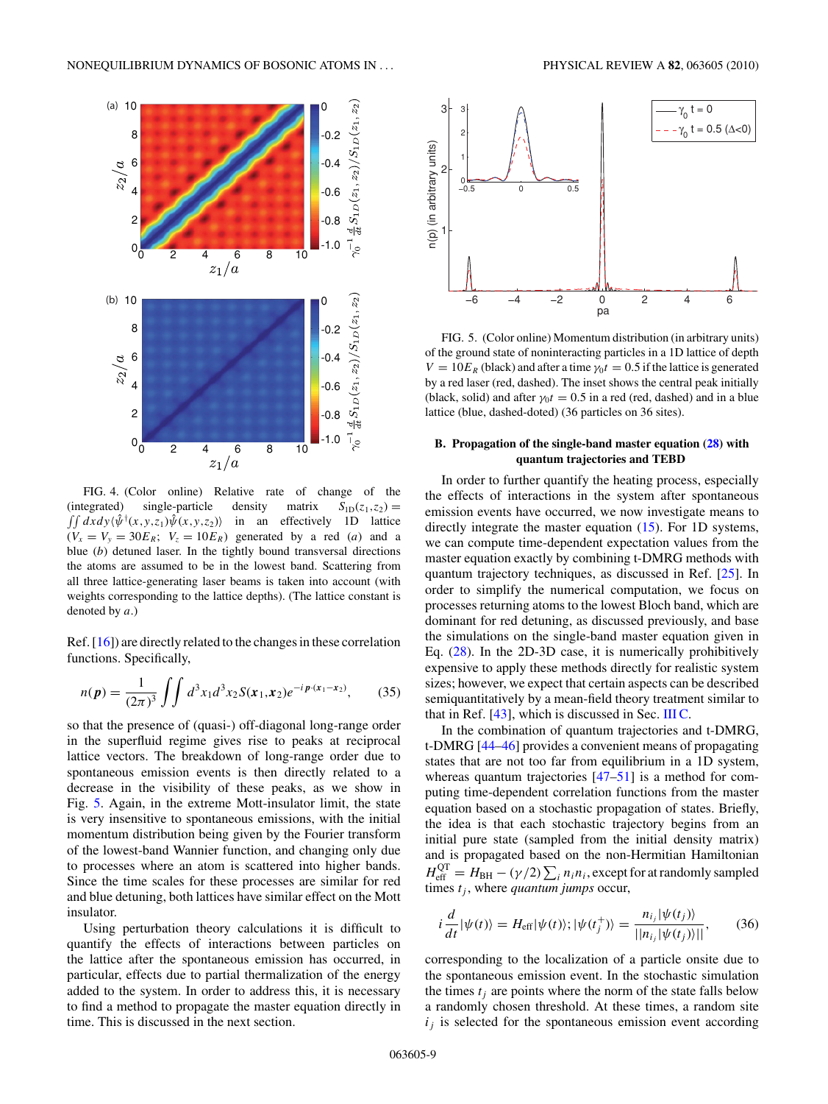<span id="page-8-0"></span>

FIG. 4. (Color online) Relative rate of change of the (integrated) single-particle density matrix  $S_{1D}(z_1, z_2) =$  $\iint dx dy \langle \hat{\psi}^{\dagger}(x, y, z_1) \hat{\psi}(x, y, z_2) \rangle$  in an effectively 1D lattice  $(V_x = V_y = 30E_R; V_z = 10E_R)$  generated by a red (*a*) and a blue (*b*) detuned laser. In the tightly bound transversal directions the atoms are assumed to be in the lowest band. Scattering from all three lattice-generating laser beams is taken into account (with weights corresponding to the lattice depths). (The lattice constant is denoted by *a*.)

Ref. [\[16\]](#page-13-0)) are directly related to the changes in these correlation functions. Specifically,

$$
n(\mathbf{p}) = \frac{1}{(2\pi)^3} \int \int d^3 x_1 d^3 x_2 S(\mathbf{x}_1, \mathbf{x}_2) e^{-i \mathbf{p} \cdot (\mathbf{x}_1 - \mathbf{x}_2)}, \qquad (35)
$$

so that the presence of (quasi-) off-diagonal long-range order in the superfluid regime gives rise to peaks at reciprocal lattice vectors. The breakdown of long-range order due to spontaneous emission events is then directly related to a decrease in the visibility of these peaks, as we show in Fig. 5. Again, in the extreme Mott-insulator limit, the state is very insensitive to spontaneous emissions, with the initial momentum distribution being given by the Fourier transform of the lowest-band Wannier function, and changing only due to processes where an atom is scattered into higher bands. Since the time scales for these processes are similar for red and blue detuning, both lattices have similar effect on the Mott insulator.

Using perturbation theory calculations it is difficult to quantify the effects of interactions between particles on the lattice after the spontaneous emission has occurred, in particular, effects due to partial thermalization of the energy added to the system. In order to address this, it is necessary to find a method to propagate the master equation directly in time. This is discussed in the next section.



FIG. 5. (Color online) Momentum distribution (in arbitrary units) of the ground state of noninteracting particles in a 1D lattice of depth  $V = 10E_R$  (black) and after a time  $\gamma_0 t = 0.5$  if the lattice is generated by a red laser (red, dashed). The inset shows the central peak initially (black, solid) and after  $\gamma_0 t = 0.5$  in a red (red, dashed) and in a blue lattice (blue, dashed-doted) (36 particles on 36 sites).

# **B. Propagation of the single-band master equation [\(28\)](#page-5-0) with quantum trajectories and TEBD**

In order to further quantify the heating process, especially the effects of interactions in the system after spontaneous emission events have occurred, we now investigate means to directly integrate the master equation [\(15\)](#page-3-0). For 1D systems, we can compute time-dependent expectation values from the master equation exactly by combining t-DMRG methods with quantum trajectory techniques, as discussed in Ref. [\[25\]](#page-14-0). In order to simplify the numerical computation, we focus on processes returning atoms to the lowest Bloch band, which are dominant for red detuning, as discussed previously, and base the simulations on the single-band master equation given in Eq. [\(28\)](#page-5-0). In the 2D-3D case, it is numerically prohibitively expensive to apply these methods directly for realistic system sizes; however, we expect that certain aspects can be described semiquantitatively by a mean-field theory treatment similar to that in Ref.  $[43]$ , which is discussed in Sec. [III C.](#page-10-0)

In the combination of quantum trajectories and t-DMRG, t-DMRG [\[44–46\]](#page-14-0) provides a convenient means of propagating states that are not too far from equilibrium in a 1D system, whereas quantum trajectories  $[47-51]$  is a method for computing time-dependent correlation functions from the master equation based on a stochastic propagation of states. Briefly, the idea is that each stochastic trajectory begins from an initial pure state (sampled from the initial density matrix) and is propagated based on the non-Hermitian Hamiltonian  $H_{\text{eff}}^{\text{QT}} = H_{\text{BH}} - (\gamma/2) \sum_{i} n_i n_i$ , except for at randomly sampled times  $t_i$ , where *quantum jumps* occur,

$$
i\frac{d}{dt}|\psi(t)\rangle = H_{\text{eff}}|\psi(t)\rangle; |\psi(t_j^+)\rangle = \frac{n_{ij}|\psi(t_j)\rangle}{||n_{ij}|\psi(t_j)\rangle||},\tag{36}
$$

corresponding to the localization of a particle onsite due to the spontaneous emission event. In the stochastic simulation the times  $t_j$  are points where the norm of the state falls below a randomly chosen threshold. At these times, a random site  $i_j$  is selected for the spontaneous emission event according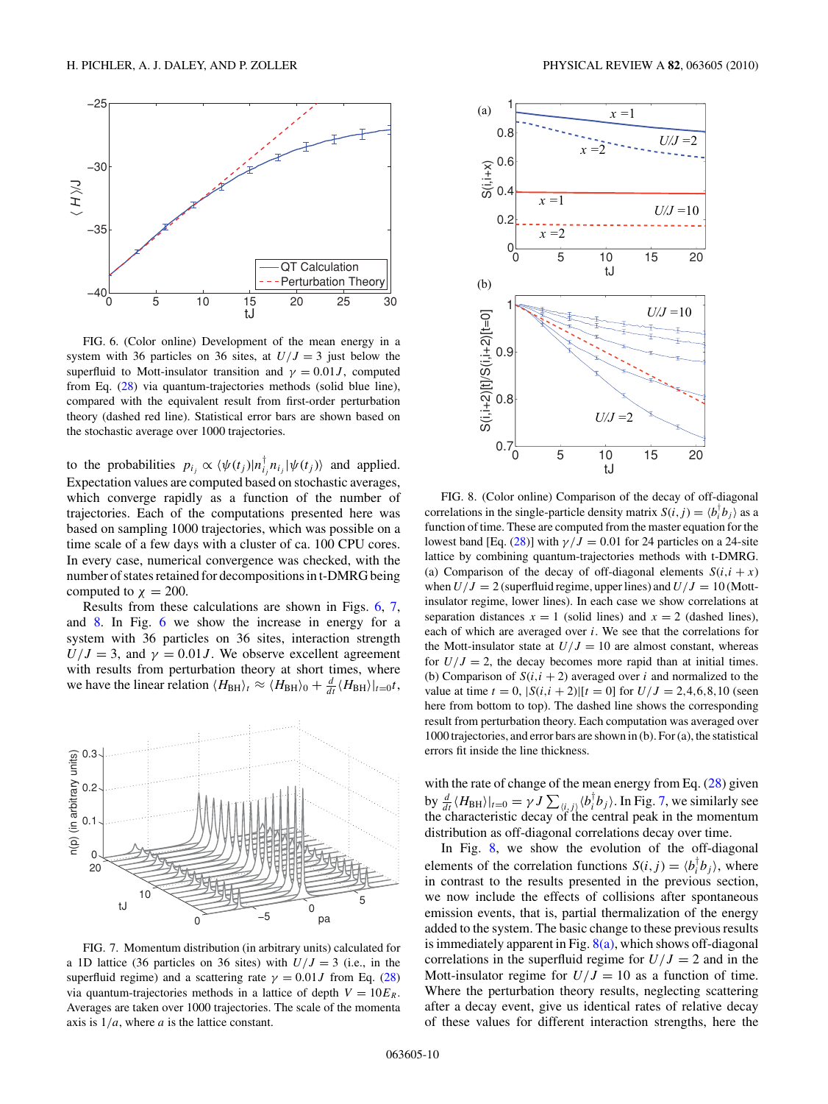<span id="page-9-0"></span>

FIG. 6. (Color online) Development of the mean energy in a system with 36 particles on 36 sites, at  $U/J = 3$  just below the superfluid to Mott-insulator transition and  $\gamma = 0.01J$ , computed from Eq. [\(28\)](#page-5-0) via quantum-trajectories methods (solid blue line), compared with the equivalent result from first-order perturbation theory (dashed red line). Statistical error bars are shown based on the stochastic average over 1000 trajectories.

to the probabilities  $p_{i_j} \propto \langle \psi(t_j) | n_{i_j}^{\dagger} n_{i_j} | \psi(t_j) \rangle$  and applied. Expectation values are computed based on stochastic averages, which converge rapidly as a function of the number of trajectories. Each of the computations presented here was based on sampling 1000 trajectories, which was possible on a time scale of a few days with a cluster of ca. 100 CPU cores. In every case, numerical convergence was checked, with the number of states retained for decompositions in t-DMRG being computed to  $\chi = 200$ .

Results from these calculations are shown in Figs. 6, 7, and 8. In Fig. 6 we show the increase in energy for a system with 36 particles on 36 sites, interaction strength  $U/J = 3$ , and  $\gamma = 0.01J$ . We observe excellent agreement with results from perturbation theory at short times, where we have the linear relation  $\langle H_{BH} \rangle_t \approx \langle H_{BH} \rangle_0 + \frac{d}{dt} \langle H_{BH} \rangle_{t=0} t$ ,



FIG. 7. Momentum distribution (in arbitrary units) calculated for a 1D lattice (36 particles on 36 sites) with  $U/J = 3$  (i.e., in the superfluid regime) and a scattering rate  $\gamma = 0.01J$  from Eq. [\(28\)](#page-5-0) via quantum-trajectories methods in a lattice of depth  $V = 10E_R$ . Averages are taken over 1000 trajectories. The scale of the momenta axis is 1*/a*, where *a* is the lattice constant.



FIG. 8. (Color online) Comparison of the decay of off-diagonal correlations in the single-particle density matrix  $S(i, j) = \langle b_i^{\dagger} b_j \rangle$  as a function of time. These are computed from the master equation for the lowest band [Eq. [\(28\)](#page-5-0)] with  $\gamma / J = 0.01$  for 24 particles on a 24-site lattice by combining quantum-trajectories methods with t-DMRG. (a) Comparison of the decay of off-diagonal elements  $S(i, i + x)$ when  $U/J = 2$  (superfluid regime, upper lines) and  $U/J = 10$  (Mottinsulator regime, lower lines). In each case we show correlations at separation distances  $x = 1$  (solid lines) and  $x = 2$  (dashed lines), each of which are averaged over *i*. We see that the correlations for the Mott-insulator state at  $U/J = 10$  are almost constant, whereas for  $U/J = 2$ , the decay becomes more rapid than at initial times. (b) Comparison of  $S(i, i + 2)$  averaged over *i* and normalized to the value at time  $t = 0$ ,  $|S(i, i + 2)||t = 0$  for  $U/J = 2, 4, 6, 8, 10$  (seen here from bottom to top). The dashed line shows the corresponding result from perturbation theory. Each computation was averaged over 1000 trajectories, and error bars are shown in (b). For (a), the statistical errors fit inside the line thickness.

with the rate of change of the mean energy from Eq. [\(28\)](#page-5-0) given by  $\frac{d}{dt} \langle H_{\text{BH}} \rangle|_{t=0} = \gamma J \sum_{\langle i,j \rangle} \langle b_i^{\dagger} b_j \rangle$ . In Fig. 7, we similarly see the characteristic decay of the central peak in the momentum distribution as off-diagonal correlations decay over time.

In Fig. 8, we show the evolution of the off-diagonal elements of the correlation functions  $S(i, j) = \langle b_i^{\dagger} b_j \rangle$ , where in contrast to the results presented in the previous section, we now include the effects of collisions after spontaneous emission events, that is, partial thermalization of the energy added to the system. The basic change to these previous results is immediately apparent in Fig.  $8(a)$ , which shows off-diagonal correlations in the superfluid regime for  $U/J = 2$  and in the Mott-insulator regime for  $U/J = 10$  as a function of time. Where the perturbation theory results, neglecting scattering after a decay event, give us identical rates of relative decay of these values for different interaction strengths, here the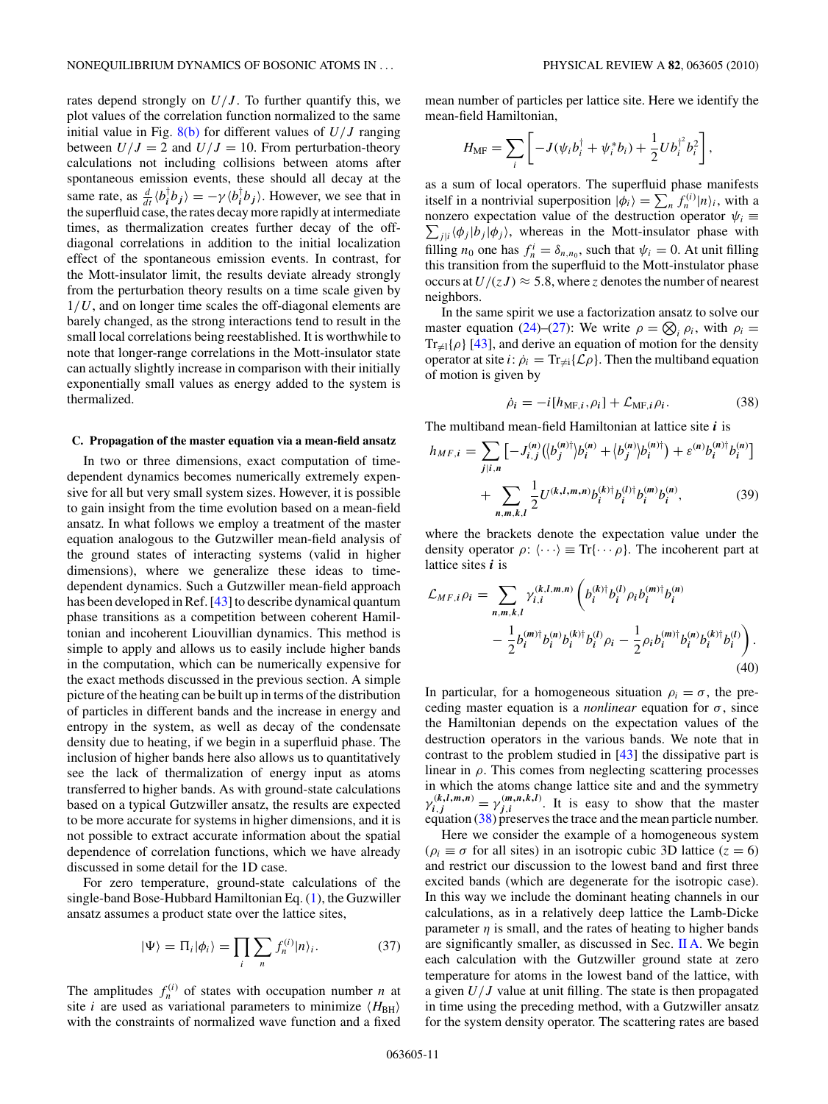<span id="page-10-0"></span>rates depend strongly on  $U/J$ . To further quantify this, we plot values of the correlation function normalized to the same initial value in Fig. [8\(b\)](#page-9-0) for different values of *U/J* ranging between  $U/J = 2$  and  $U/J = 10$ . From perturbation-theory calculations not including collisions between atoms after spontaneous emission events, these should all decay at the same rate, as  $\frac{d}{dt} \langle b_i^{\dagger} b_j \rangle = -\gamma \langle b_i^{\dagger} b_j \rangle$ . However, we see that in the superfluid case, the rates decay more rapidly at intermediate times, as thermalization creates further decay of the offdiagonal correlations in addition to the initial localization effect of the spontaneous emission events. In contrast, for the Mott-insulator limit, the results deviate already strongly from the perturbation theory results on a time scale given by 1*/U*, and on longer time scales the off-diagonal elements are barely changed, as the strong interactions tend to result in the small local correlations being reestablished. It is worthwhile to note that longer-range correlations in the Mott-insulator state can actually slightly increase in comparison with their initially exponentially small values as energy added to the system is thermalized.

#### **C. Propagation of the master equation via a mean-field ansatz**

In two or three dimensions, exact computation of timedependent dynamics becomes numerically extremely expensive for all but very small system sizes. However, it is possible to gain insight from the time evolution based on a mean-field ansatz. In what follows we employ a treatment of the master equation analogous to the Gutzwiller mean-field analysis of the ground states of interacting systems (valid in higher dimensions), where we generalize these ideas to timedependent dynamics. Such a Gutzwiller mean-field approach has been developed in Ref. [\[43\]](#page-14-0) to describe dynamical quantum phase transitions as a competition between coherent Hamiltonian and incoherent Liouvillian dynamics. This method is simple to apply and allows us to easily include higher bands in the computation, which can be numerically expensive for the exact methods discussed in the previous section. A simple picture of the heating can be built up in terms of the distribution of particles in different bands and the increase in energy and entropy in the system, as well as decay of the condensate density due to heating, if we begin in a superfluid phase. The inclusion of higher bands here also allows us to quantitatively see the lack of thermalization of energy input as atoms transferred to higher bands. As with ground-state calculations based on a typical Gutzwiller ansatz, the results are expected to be more accurate for systems in higher dimensions, and it is not possible to extract accurate information about the spatial dependence of correlation functions, which we have already discussed in some detail for the 1D case.

For zero temperature, ground-state calculations of the single-band Bose-Hubbard Hamiltonian Eq. [\(1\)](#page-0-0), the Guzwiller ansatz assumes a product state over the lattice sites,

$$
|\Psi\rangle = \Pi_i |\phi_i\rangle = \prod_i \sum_n f_n^{(i)} |n\rangle_i.
$$
 (37)

The amplitudes  $f_n^{(i)}$  of states with occupation number *n* at site *i* are used as variational parameters to minimize  $\langle H_{\text{BH}} \rangle$ with the constraints of normalized wave function and a fixed

mean number of particles per lattice site. Here we identify the mean-field Hamiltonian,

$$
H_{\rm MF} = \sum_{i} \left[ -J(\psi_i b_i^{\dagger} + \psi_i^* b_i) + \frac{1}{2} U b_i^{\dagger^2} b_i^2 \right],
$$

as a sum of local operators. The superfluid phase manifests itself in a nontrivial superposition  $|\phi_i\rangle = \sum_n f_n^{(i)}|n\rangle_i$ , with a nonzero expectation value of the destruction operator  $\psi_i$  $\sum_{j|i} \langle \phi_j | b_j | \phi_j \rangle$ , whereas in the Mott-insulator phase with filling *n*<sub>0</sub> one has  $f_n^i = \delta_{n,n_0}$ , such that  $\psi_i = 0$ . At unit filling this transition from the superfluid to the Mott-instulator phase occurs at  $U/(zJ) \approx 5.8$ , where *z* denotes the number of nearest neighbors.

In the same spirit we use a factorization ansatz to solve our master equation [\(24\)](#page-5-0)–[\(27\)](#page-5-0): We write  $\rho = \bigotimes_i \rho_i$ , with  $\rho_i =$  $Tr_{\neq 1}$  [ $\rho$ ], and derive an equation of motion for the density operator at site *i*:  $\dot{\rho}_i = Tr_{\neq i} {\{\mathcal{L} \rho\}}$ . Then the multiband equation of motion is given by

$$
\dot{\rho}_i = -i[h_{\text{MF},i}, \rho_i] + \mathcal{L}_{\text{MF},i}\rho_i. \tag{38}
$$

The multiband mean-field Hamiltonian at lattice site *i* is

$$
h_{MF,i} = \sum_{j|i,n} \left[ -J_{i,j}^{(n)} \langle b_j^{(n)} \rangle b_i^{(n)} + \langle b_j^{(n)} \rangle b_i^{(n)\dagger} \right) + \varepsilon^{(n)} b_i^{(n)\dagger} b_i^{(n)} \right] + \sum_{n,m,k,l} \frac{1}{2} U^{(k,l,m,n)} b_i^{(k)\dagger} b_l^{(n)\dagger} b_i^{(m)} b_i^{(n)}, \tag{39}
$$

where the brackets denote the expectation value under the density operator  $\rho$ :  $\langle \cdots \rangle \equiv \text{Tr}\{\cdots \rho\}$ . The incoherent part at lattice sites *i* is

$$
\mathcal{L}_{MF,i}\rho_i = \sum_{n,m,k,l} \gamma_{i,i}^{(k,l,m,n)} \left( b_i^{(k)\dagger} b_i^{(l)} \rho_i b_i^{(m)\dagger} b_i^{(n)} \right. \\
\left. - \frac{1}{2} b_i^{(m)\dagger} b_i^{(n)} b_i^{(k)\dagger} b_i^{(l)} \rho_i - \frac{1}{2} \rho_i b_i^{(m)\dagger} b_i^{(n)} b_i^{(k)\dagger} b_i^{(l)} \right). \tag{40}
$$

In particular, for a homogeneous situation  $\rho_i = \sigma$ , the preceding master equation is a *nonlinear* equation for *σ*, since the Hamiltonian depends on the expectation values of the destruction operators in the various bands. We note that in contrast to the problem studied in [\[43\]](#page-14-0) the dissipative part is linear in  $\rho$ . This comes from neglecting scattering processes in which the atoms change lattice site and and the symmetry  $\gamma_{i,j}^{(k,l,m,n)} = \gamma_{j,i}^{(m,n,k,l)}$ . It is easy to show that the master equation (38) preserves the trace and the mean particle number.

Here we consider the example of a homogeneous system  $(\rho_i \equiv \sigma \text{ for all sites})$  in an isotropic cubic 3D lattice ( $z = 6$ ) and restrict our discussion to the lowest band and first three excited bands (which are degenerate for the isotropic case). In this way we include the dominant heating channels in our calculations, as in a relatively deep lattice the Lamb-Dicke parameter  $\eta$  is small, and the rates of heating to higher bands are significantly smaller, as discussed in Sec. [II A.](#page-1-0) We begin each calculation with the Gutzwiller ground state at zero temperature for atoms in the lowest band of the lattice, with a given *U/J* value at unit filling. The state is then propagated in time using the preceding method, with a Gutzwiller ansatz for the system density operator. The scattering rates are based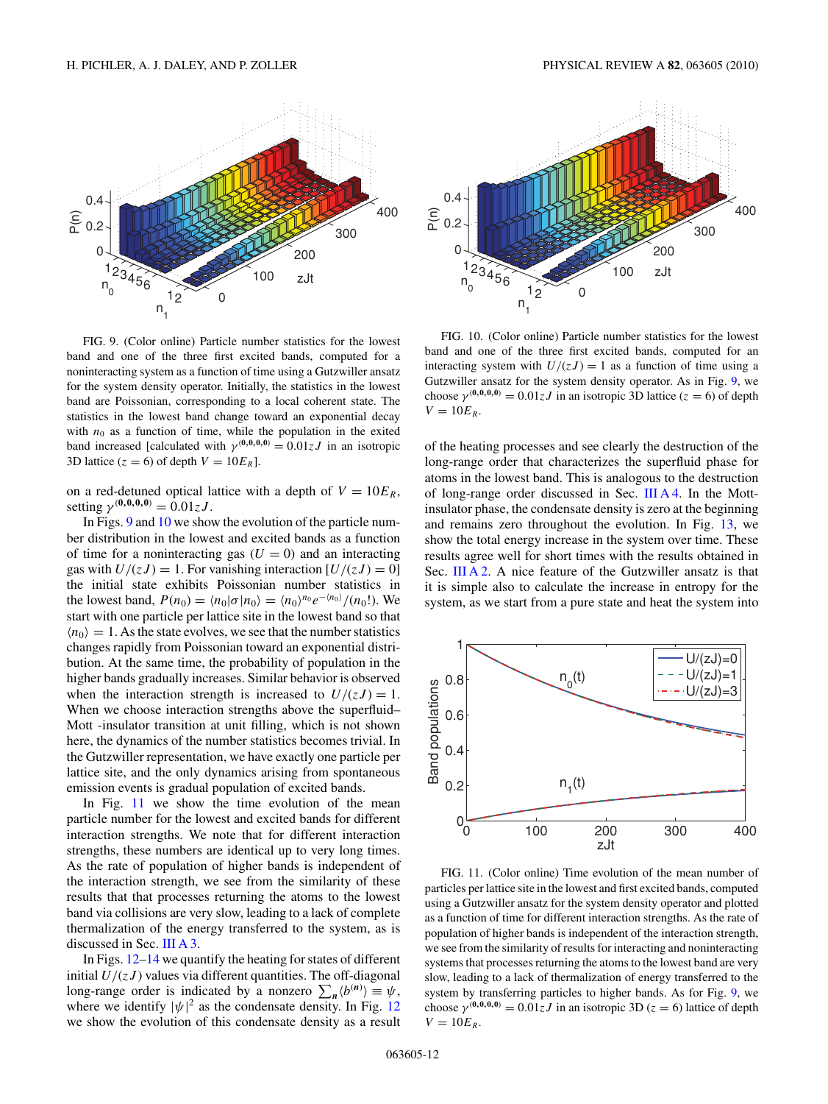

FIG. 9. (Color online) Particle number statistics for the lowest band and one of the three first excited bands, computed for a noninteracting system as a function of time using a Gutzwiller ansatz for the system density operator. Initially, the statistics in the lowest band are Poissonian, corresponding to a local coherent state. The statistics in the lowest band change toward an exponential decay with  $n_0$  as a function of time, while the population in the exited band increased [calculated with  $\gamma^{(0,0,0,0)} = 0.01zJ$  in an isotropic 3D lattice  $(z = 6)$  of depth  $V = 10E_R$ .

on a red-detuned optical lattice with a depth of  $V = 10E_R$ , setting  $\gamma^{(0,0,0,0)} = 0.01zJ$ .

In Figs. 9 and 10 we show the evolution of the particle number distribution in the lowest and excited bands as a function of time for a noninteracting gas  $(U = 0)$  and an interacting gas with  $U/(zJ) = 1$ . For vanishing interaction  $[U/(zJ) = 0]$ the initial state exhibits Poissonian number statistics in the lowest band,  $P(n_0) = \langle n_0 | \sigma | n_0 \rangle = \langle n_0 \rangle^{n_0} e^{-\langle n_0 \rangle} / (n_0!)$ . We start with one particle per lattice site in the lowest band so that  $\langle n_0 \rangle = 1$ . As the state evolves, we see that the number statistics changes rapidly from Poissonian toward an exponential distribution. At the same time, the probability of population in the higher bands gradually increases. Similar behavior is observed when the interaction strength is increased to  $U/(zJ) = 1$ . When we choose interaction strengths above the superfluid– Mott -insulator transition at unit filling, which is not shown here, the dynamics of the number statistics becomes trivial. In the Gutzwiller representation, we have exactly one particle per lattice site, and the only dynamics arising from spontaneous emission events is gradual population of excited bands.

In Fig. 11 we show the time evolution of the mean particle number for the lowest and excited bands for different interaction strengths. We note that for different interaction strengths, these numbers are identical up to very long times. As the rate of population of higher bands is independent of the interaction strength, we see from the similarity of these results that that processes returning the atoms to the lowest band via collisions are very slow, leading to a lack of complete thermalization of the energy transferred to the system, as is discussed in Sec. [III A 3.](#page-7-0)

In Figs. [12–14](#page-12-0) we quantify the heating for states of different initial  $U/(zJ)$  values via different quantities. The off-diagonal long-range order is indicated by a nonzero  $\sum_{n} \langle b^{(n)} \rangle \equiv \psi$ , where we identify  $|\psi|^2$  as the condensate density. In Fig. [12](#page-12-0) we show the evolution of this condensate density as a result



FIG. 10. (Color online) Particle number statistics for the lowest band and one of the three first excited bands, computed for an interacting system with  $U/(zJ) = 1$  as a function of time using a Gutzwiller ansatz for the system density operator. As in Fig. 9, we choose  $\gamma^{(0,0,0,0)} = 0.01zJ$  in an isotropic 3D lattice ( $z = 6$ ) of depth  $V = 10E_R$ .

of the heating processes and see clearly the destruction of the long-range order that characterizes the superfluid phase for atoms in the lowest band. This is analogous to the destruction of long-range order discussed in Sec. [III A 4.](#page-7-0) In the Mottinsulator phase, the condensate density is zero at the beginning and remains zero throughout the evolution. In Fig. [13,](#page-12-0) we show the total energy increase in the system over time. These results agree well for short times with the results obtained in Sec. [III A 2.](#page-7-0) A nice feature of the Gutzwiller ansatz is that it is simple also to calculate the increase in entropy for the system, as we start from a pure state and heat the system into



FIG. 11. (Color online) Time evolution of the mean number of particles per lattice site in the lowest and first excited bands, computed using a Gutzwiller ansatz for the system density operator and plotted as a function of time for different interaction strengths. As the rate of population of higher bands is independent of the interaction strength, we see from the similarity of results for interacting and noninteracting systems that processes returning the atoms to the lowest band are very slow, leading to a lack of thermalization of energy transferred to the system by transferring particles to higher bands. As for Fig. 9, we choose  $\gamma^{(0,0,0,0)} = 0.01zJ$  in an isotropic 3D ( $z = 6$ ) lattice of depth  $V = 10E_R$ .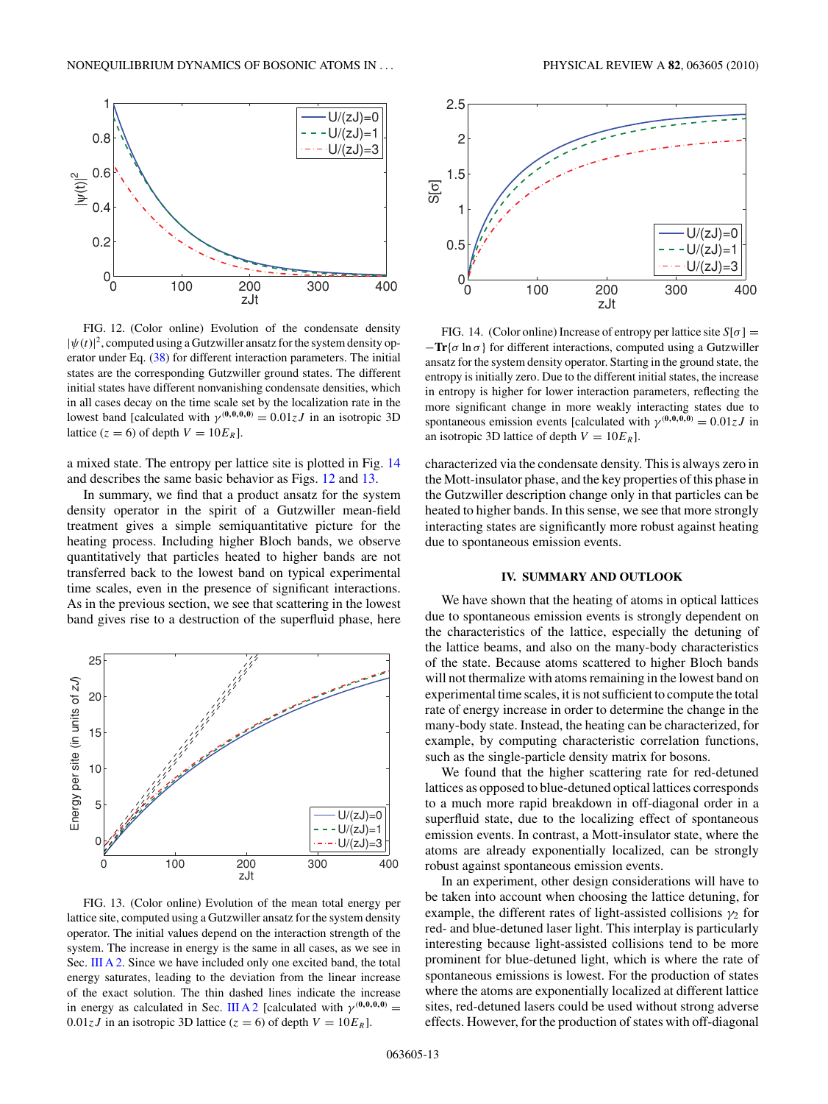<span id="page-12-0"></span>

FIG. 12. (Color online) Evolution of the condensate density  $|\psi(t)|^2$ , computed using a Gutzwiller ansatz for the system density operator under Eq. [\(38\)](#page-10-0) for different interaction parameters. The initial states are the corresponding Gutzwiller ground states. The different initial states have different nonvanishing condensate densities, which in all cases decay on the time scale set by the localization rate in the lowest band [calculated with  $\gamma^{(0,0,0,0)} = 0.01zJ$  in an isotropic 3D lattice ( $z = 6$ ) of depth  $V = 10E_R$ ].

a mixed state. The entropy per lattice site is plotted in Fig. 14 and describes the same basic behavior as Figs. 12 and 13.

In summary, we find that a product ansatz for the system density operator in the spirit of a Gutzwiller mean-field treatment gives a simple semiquantitative picture for the heating process. Including higher Bloch bands, we observe quantitatively that particles heated to higher bands are not transferred back to the lowest band on typical experimental time scales, even in the presence of significant interactions. As in the previous section, we see that scattering in the lowest band gives rise to a destruction of the superfluid phase, here



FIG. 13. (Color online) Evolution of the mean total energy per lattice site, computed using a Gutzwiller ansatz for the system density operator. The initial values depend on the interaction strength of the system. The increase in energy is the same in all cases, as we see in Sec. [III A 2.](#page-7-0) Since we have included only one excited band, the total energy saturates, leading to the deviation from the linear increase of the exact solution. The thin dashed lines indicate the increase in energy as calculated in Sec. [III A 2](#page-7-0) [calculated with  $\gamma^{(0,0,0,0)}$  =  $0.01zJ$  in an isotropic 3D lattice ( $z = 6$ ) of depth  $V = 10E_R$ ].



FIG. 14. (Color online) Increase of entropy per lattice site *S*[*σ*] =  $-\text{Tr}{\sigma \ln \sigma}$  for different interactions, computed using a Gutzwiller ansatz for the system density operator. Starting in the ground state, the entropy is initially zero. Due to the different initial states, the increase in entropy is higher for lower interaction parameters, reflecting the more significant change in more weakly interacting states due to spontaneous emission events [calculated with  $\gamma^{(0,0,0,0)} = 0.01zJ$  in an isotropic 3D lattice of depth  $V = 10E_R$ ].

characterized via the condensate density. This is always zero in the Mott-insulator phase, and the key properties of this phase in the Gutzwiller description change only in that particles can be heated to higher bands. In this sense, we see that more strongly interacting states are significantly more robust against heating due to spontaneous emission events.

# **IV. SUMMARY AND OUTLOOK**

We have shown that the heating of atoms in optical lattices due to spontaneous emission events is strongly dependent on the characteristics of the lattice, especially the detuning of the lattice beams, and also on the many-body characteristics of the state. Because atoms scattered to higher Bloch bands will not thermalize with atoms remaining in the lowest band on experimental time scales, it is not sufficient to compute the total rate of energy increase in order to determine the change in the many-body state. Instead, the heating can be characterized, for example, by computing characteristic correlation functions, such as the single-particle density matrix for bosons.

We found that the higher scattering rate for red-detuned lattices as opposed to blue-detuned optical lattices corresponds to a much more rapid breakdown in off-diagonal order in a superfluid state, due to the localizing effect of spontaneous emission events. In contrast, a Mott-insulator state, where the atoms are already exponentially localized, can be strongly robust against spontaneous emission events.

In an experiment, other design considerations will have to be taken into account when choosing the lattice detuning, for example, the different rates of light-assisted collisions  $\gamma_2$  for red- and blue-detuned laser light. This interplay is particularly interesting because light-assisted collisions tend to be more prominent for blue-detuned light, which is where the rate of spontaneous emissions is lowest. For the production of states where the atoms are exponentially localized at different lattice sites, red-detuned lasers could be used without strong adverse effects. However, for the production of states with off-diagonal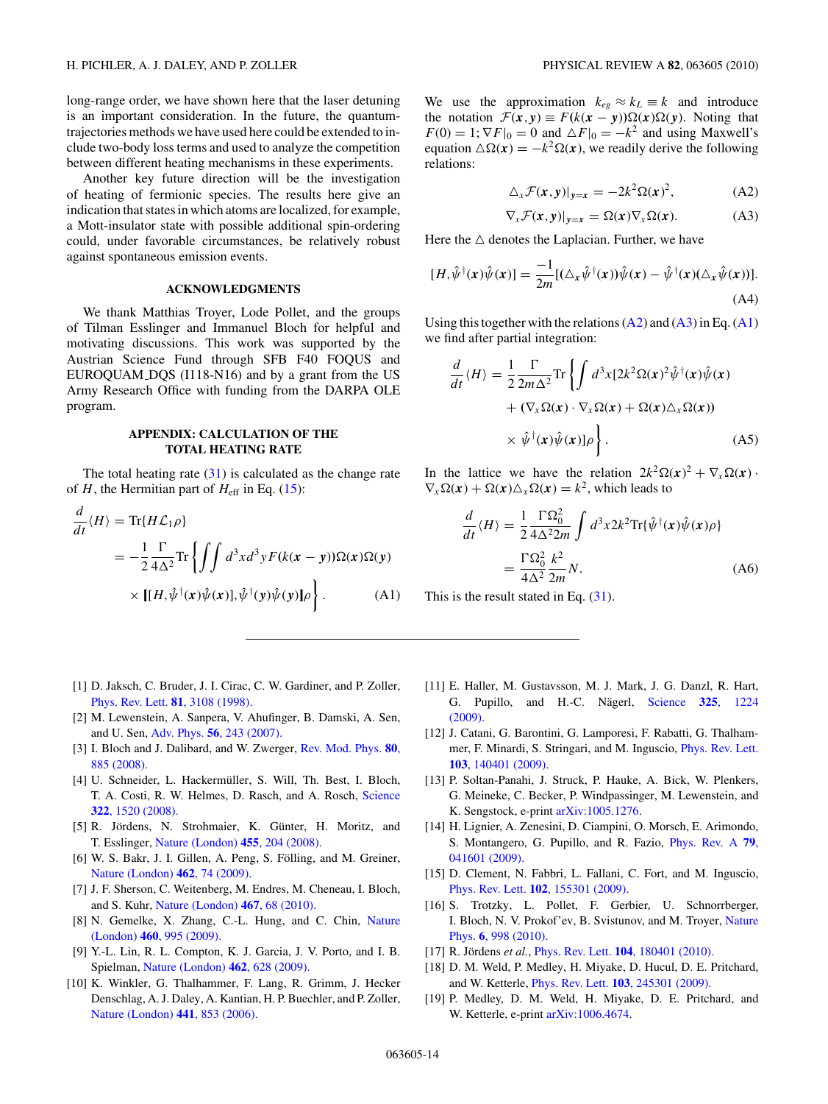<span id="page-13-0"></span>long-range order, we have shown here that the laser detuning is an important consideration. In the future, the quantumtrajectories methods we have used here could be extended to include two-body loss terms and used to analyze the competition between different heating mechanisms in these experiments.

Another key future direction will be the investigation of heating of fermionic species. The results here give an indication that states in which atoms are localized, for example, a Mott-insulator state with possible additional spin-ordering could, under favorable circumstances, be relatively robust against spontaneous emission events.

#### **ACKNOWLEDGMENTS**

We thank Matthias Troyer, Lode Pollet, and the groups of Tilman Esslinger and Immanuel Bloch for helpful and motivating discussions. This work was supported by the Austrian Science Fund through SFB F40 FOQUS and EUROQUAM DQS (I118-N16) and by a grant from the US Army Research Office with funding from the DARPA OLE program.

# **APPENDIX: CALCULATION OF THE TOTAL HEATING RATE**

The total heating rate  $(31)$  is calculated as the change rate of  $H$ , the Hermitian part of  $H_{\text{eff}}$  in Eq. [\(15\)](#page-3-0):

$$
\frac{d}{dt}\langle H \rangle = \text{Tr}\{H\mathcal{L}_1 \rho\} \n= -\frac{1}{2} \frac{\Gamma}{4\Delta^2} \text{Tr} \left\{ \iint d^3x d^3y F(k(x - y)) \Omega(x) \Omega(y) \n\times \left[ [H, \hat{\psi}^\dagger(x) \hat{\psi}(x)], \hat{\psi}^\dagger(y) \hat{\psi}(y) \right] \rho \right\}.
$$
\n(A1)

We use the approximation  $k_{eg} \approx k_L \equiv k$  and introduce the notation  $\mathcal{F}(x, y) \equiv F(k(x - y))\Omega(x)\Omega(y)$ . Noting that  $F(0) = 1$ ;  $\nabla F|_0 = 0$  and  $\Delta F|_0 = -k^2$  and using Maxwell's equation  $\Delta \Omega(x) = -k^2 \Omega(x)$ , we readily derive the following relations:

$$
\Delta_x \mathcal{F}(x, y)|_{y=x} = -2k^2 \Omega(x)^2, \tag{A2}
$$

$$
\nabla_x \mathcal{F}(x, y)|_{y=x} = \Omega(x) \nabla_x \Omega(x). \tag{A3}
$$

Here the  $\triangle$  denotes the Laplacian. Further, we have

$$
[H, \hat{\psi}^{\dagger}(\mathbf{x})\hat{\psi}(\mathbf{x})] = \frac{-1}{2m} [(\Delta_{\mathbf{x}}\hat{\psi}^{\dagger}(\mathbf{x}))\hat{\psi}(\mathbf{x}) - \hat{\psi}^{\dagger}(\mathbf{x})(\Delta_{\mathbf{x}}\hat{\psi}(\mathbf{x}))].
$$
\n(A4)

Using this together with the relations  $(A2)$  and  $(A3)$  in Eq.  $(A1)$ we find after partial integration:

$$
\frac{d}{dt}\langle H\rangle = \frac{1}{2} \frac{\Gamma}{2m\Delta^2} \text{Tr} \left\{ \int d^3x \left[ 2k^2 \Omega(x)^2 \hat{\psi}^\dagger(x) \hat{\psi}(x) + (\nabla_x \Omega(x) \cdot \nabla_x \Omega(x) + \Omega(x) \Delta_x \Omega(x)) \right. \\ \times \hat{\psi}^\dagger(x) \hat{\psi}(x) \rho \right\} . \tag{A5}
$$

In the lattice we have the relation  $2k^2\Omega(x)^2 + \nabla_x\Omega(x)$ .  $\nabla_{\mathbf{x}}\Omega(\mathbf{x}) + \Omega(\mathbf{x})\Delta_{\mathbf{x}}\Omega(\mathbf{x}) = k^2$ , which leads to

$$
\frac{d}{dt}\langle H \rangle = \frac{1}{2} \frac{\Gamma \Omega_0^2}{4\Delta^2 2m} \int d^3 x 2k^2 \text{Tr}\{\hat{\psi}^\dagger(\mathbf{x})\hat{\psi}(\mathbf{x})\rho\}
$$

$$
= \frac{\Gamma \Omega_0^2}{4\Delta^2} \frac{k^2}{2m} N. \tag{A6}
$$

This is the result stated in Eq. [\(31\)](#page-7-0).

- [1] D. Jaksch, C. Bruder, J. I. Cirac, C. W. Gardiner, and P. Zoller, [Phys. Rev. Lett.](http://dx.doi.org/10.1103/PhysRevLett.81.3108) **81**, 3108 (1998).
- [2] M. Lewenstein, A. Sanpera, V. Ahufinger, B. Damski, A. Sen, and U. Sen, Adv. Phys. **56**[, 243 \(2007\).](http://dx.doi.org/10.1080/00018730701223200)
- [3] I. Bloch and J. Dalibard, and W. Zwerger, [Rev. Mod. Phys.](http://dx.doi.org/10.1103/RevModPhys.80.885) **80**, [885 \(2008\).](http://dx.doi.org/10.1103/RevModPhys.80.885)
- [4] U. Schneider, L. Hackermüller, S. Will, Th. Best, I. Bloch, T. A. Costi, R. W. Helmes, D. Rasch, and A. Rosch, [Science](http://dx.doi.org/10.1126/science.1165449) **322**[, 1520 \(2008\).](http://dx.doi.org/10.1126/science.1165449)
- [5] R. Jördens, N. Strohmaier, K. Günter, H. Moritz, and T. Esslinger, [Nature \(London\)](http://dx.doi.org/10.1038/nature07244) **455**, 204 (2008).
- [6] W. S. Bakr, J. I. Gillen, A. Peng, S. Fölling, and M. Greiner, [Nature \(London\)](http://dx.doi.org/10.1038/nature08482) **462**, 74 (2009).
- [7] J. F. Sherson, C. Weitenberg, M. Endres, M. Cheneau, I. Bloch, and S. Kuhr, [Nature \(London\)](http://dx.doi.org/10.1038/nature09378) **467**, 68 (2010).
- [8] N. Gemelke, X. Zhang, C.-L. Hung, and C. Chin, [Nature](http://dx.doi.org/10.1038/nature08244) (London) **460**[, 995 \(2009\).](http://dx.doi.org/10.1038/nature08244)
- [9] Y.-L. Lin, R. L. Compton, K. J. Garcia, J. V. Porto, and I. B. Spielman, [Nature \(London\)](http://dx.doi.org/10.1038/nature08609) **462**, 628 (2009).
- [10] K. Winkler, G. Thalhammer, F. Lang, R. Grimm, J. Hecker Denschlag, A. J. Daley, A. Kantian, H. P. Buechler, and P. Zoller, [Nature \(London\)](http://dx.doi.org/10.1038/nature04918) **441**, 853 (2006).
- [11] E. Haller, M. Gustavsson, M. J. Mark, J. G. Danzl, R. Hart, G. Pupillo, and H.-C. Nägerl, Science 325[, 1224](http://dx.doi.org/10.1126/science.1175850) [\(2009\).](http://dx.doi.org/10.1126/science.1175850)
- [12] J. Catani, G. Barontini, G. Lamporesi, F. Rabatti, G. Thalhammer, F. Minardi, S. Stringari, and M. Inguscio, [Phys. Rev. Lett.](http://dx.doi.org/10.1103/PhysRevLett.103.140401) **103**[, 140401 \(2009\).](http://dx.doi.org/10.1103/PhysRevLett.103.140401)
- [13] P. Soltan-Panahi, J. Struck, P. Hauke, A. Bick, W. Plenkers, G. Meineke, C. Becker, P. Windpassinger, M. Lewenstein, and K. Sengstock, e-print [arXiv:1005.1276.](http://arXiv.org/abs/arXiv:1005.1276)
- [14] H. Lignier, A. Zenesini, D. Ciampini, O. Morsch, E. Arimondo, S. Montangero, G. Pupillo, and R. Fazio, [Phys. Rev. A](http://dx.doi.org/10.1103/PhysRevA.79.041601) **79**, [041601 \(2009\).](http://dx.doi.org/10.1103/PhysRevA.79.041601)
- [15] D. Clement, N. Fabbri, L. Fallani, C. Fort, and M. Inguscio, Phys. Rev. Lett. **102**[, 155301 \(2009\).](http://dx.doi.org/10.1103/PhysRevLett.102.155301)
- [16] S. Trotzky, L. Pollet, F. Gerbier, U. Schnorrberger, I. Bloch, N. V. Prokof'ev, B. Svistunov, and M. Troyer, [Nature](http://dx.doi.org/10.1038/nphys1799) Phys. **6**[, 998 \(2010\).](http://dx.doi.org/10.1038/nphys1799)
- [17] R. Jördens et al., Phys. Rev. Lett. **104**[, 180401 \(2010\).](http://dx.doi.org/10.1103/PhysRevLett.104.180401)
- [18] D. M. Weld, P. Medley, H. Miyake, D. Hucul, D. E. Pritchard, and W. Ketterle, Phys. Rev. Lett. **103**[, 245301 \(2009\).](http://dx.doi.org/10.1103/PhysRevLett.103.245301)
- [19] P. Medley, D. M. Weld, H. Miyake, D. E. Pritchard, and W. Ketterle, e-print [arXiv:1006.4674.](http://arXiv.org/abs/arXiv:1006.4674)